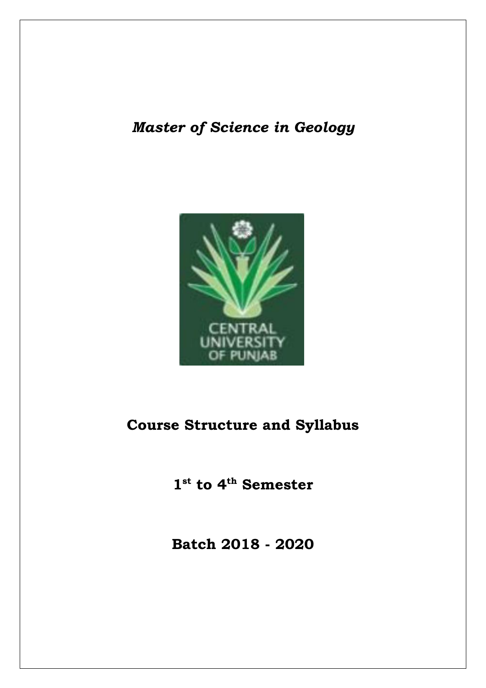*Master of Science in Geology*



# **Course Structure and Syllabus**

**1 st to 4th Semester**

**Batch 2018 - 2020**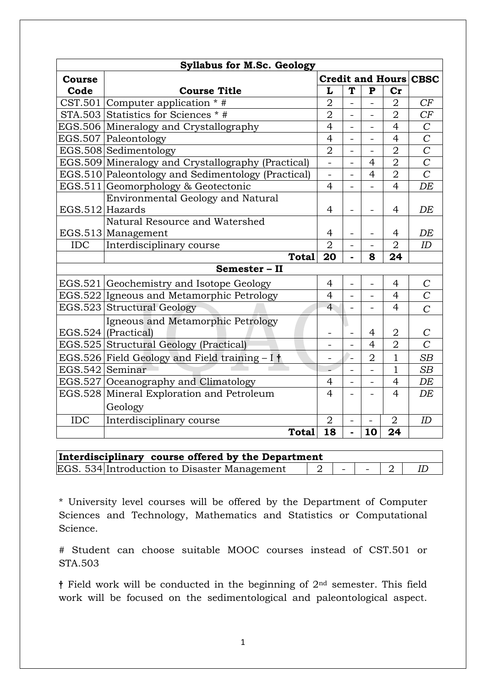| <b>Syllabus for M.Sc. Geology</b> |                                                      |                |                          |                          |                |                       |  |  |  |
|-----------------------------------|------------------------------------------------------|----------------|--------------------------|--------------------------|----------------|-----------------------|--|--|--|
| <b>Course</b>                     |                                                      |                |                          |                          |                | Credit and Hours CBSC |  |  |  |
| Code                              | <b>Course Title</b>                                  | L              | T                        | $\mathbf{P}$             | Cr             |                       |  |  |  |
|                                   | CST.501 Computer application $*$ #                   | $\overline{2}$ | $\equiv$                 | L.                       | $\overline{2}$ | CF                    |  |  |  |
|                                   | STA.503 Statistics for Sciences * #                  | $\overline{2}$ | $\qquad \qquad -$        | $\overline{a}$           | $\overline{2}$ | CF                    |  |  |  |
|                                   | EGS.506 Mineralogy and Crystallography               | $\overline{4}$ |                          |                          | $\overline{4}$ | $\overline{C}$        |  |  |  |
|                                   | EGS.507 Paleontology                                 | $\overline{4}$ | ÷                        |                          | $\overline{4}$ | $\overline{C}$        |  |  |  |
|                                   | EGS.508 Sedimentology                                | $\overline{2}$ | $\equiv$                 | $\overline{\phantom{0}}$ | $\overline{2}$ | $\overline{C}$        |  |  |  |
|                                   | EGS.509 Mineralogy and Crystallography (Practical)   | $\overline{a}$ | $\overline{a}$           | $\overline{4}$           | $\overline{2}$ | $\overline{C}$        |  |  |  |
|                                   | EGS.510 Paleontology and Sedimentology (Practical)   |                | $\overline{\phantom{0}}$ | $\overline{4}$           | $\overline{2}$ | $\overline{C}$        |  |  |  |
|                                   | EGS.511 Geomorphology & Geotectonic                  | 4              | $\frac{1}{2}$            |                          | $\overline{4}$ | DE                    |  |  |  |
|                                   | Environmental Geology and Natural                    |                |                          |                          |                |                       |  |  |  |
| EGS.512 Hazards                   |                                                      | 4              |                          |                          | 4              | DE                    |  |  |  |
|                                   | Natural Resource and Watershed                       |                |                          |                          |                |                       |  |  |  |
|                                   | EGS.513 Management                                   | 4              | ÷                        | $\overline{\phantom{0}}$ | 4              | DE                    |  |  |  |
| <b>IDC</b>                        | Interdisciplinary course                             | $\overline{2}$ |                          |                          | $\overline{2}$ | ID                    |  |  |  |
|                                   | <b>Total</b>                                         | 20             |                          | 8                        | 24             |                       |  |  |  |
|                                   | Semester - II                                        |                |                          |                          |                |                       |  |  |  |
|                                   | EGS.521 Geochemistry and Isotope Geology             | 4              | ÷,                       | $\equiv$                 | 4              | $\mathcal{C}_{0}^{0}$ |  |  |  |
|                                   | EGS.522 Igneous and Metamorphic Petrology            | $\overline{4}$ |                          |                          | $\overline{4}$ | $\overline{C}$        |  |  |  |
|                                   | EGS.523 Structural Geology                           | $\overline{4}$ | ÷                        |                          | $\overline{4}$ | $\overline{C}$        |  |  |  |
|                                   | Igneous and Metamorphic Petrology                    |                |                          |                          |                |                       |  |  |  |
|                                   | $EGS.524$ (Practical)                                |                |                          | $\overline{4}$           | $\overline{2}$ | $\mathcal{C}_{0}^{0}$ |  |  |  |
|                                   | EGS.525 Structural Geology (Practical)               | $\overline{a}$ | $\qquad \qquad -$        | $\overline{4}$           | $\overline{2}$ | $\overline{C}$        |  |  |  |
|                                   | EGS.526 Field Geology and Field training $-1\dagger$ |                | $\overline{\phantom{0}}$ | $\overline{2}$           | $\mathbf{1}$   | SB                    |  |  |  |
| EGS.542 Seminar                   |                                                      |                |                          |                          | 1              | SB                    |  |  |  |
|                                   | EGS.527 Oceanography and Climatology                 | $\overline{4}$ |                          |                          | $\overline{4}$ | DE                    |  |  |  |
|                                   | EGS.528 Mineral Exploration and Petroleum            | $\overline{4}$ |                          |                          | $\overline{4}$ | DE                    |  |  |  |
|                                   | Geology                                              |                |                          |                          |                |                       |  |  |  |
| <b>IDC</b>                        | Interdisciplinary course                             | $\overline{2}$ | -                        |                          | $\overline{2}$ | ID                    |  |  |  |
|                                   | <b>Total</b>                                         | 18             | $\blacksquare$           | 10                       | 24             |                       |  |  |  |

| Interdisciplinary course offered by the Department |               |  |  |  |  |  |
|----------------------------------------------------|---------------|--|--|--|--|--|
| EGS. 534 Introduction to Disaster Management       | $\frac{1}{2}$ |  |  |  |  |  |

\* University level courses will be offered by the Department of Computer Sciences and Technology, Mathematics and Statistics or Computational Science.

# Student can choose suitable MOOC courses instead of CST.501 or STA.503

**†** Field work will be conducted in the beginning of 2nd semester. This field work will be focused on the sedimentological and paleontological aspect.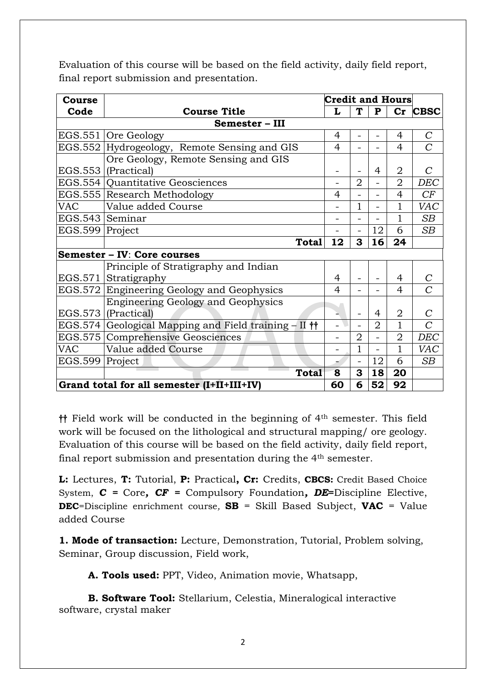| Course          |                                                                         |                |                |                | <b>Credit and Hours</b> |                |  |  |
|-----------------|-------------------------------------------------------------------------|----------------|----------------|----------------|-------------------------|----------------|--|--|
| Code            | <b>Course Title</b>                                                     | L              | T              | P              |                         | Cr CBSC        |  |  |
|                 | Semester - III                                                          |                |                |                |                         |                |  |  |
|                 | $EGS.551$ Ore Geology                                                   | $\overline{4}$ |                |                | $\overline{4}$          | $\mathcal{C}$  |  |  |
|                 | EGS.552 Hydrogeology, Remote Sensing and GIS                            | $\overline{4}$ |                |                | $\overline{4}$          | $\overline{C}$ |  |  |
|                 | Ore Geology, Remote Sensing and GIS                                     |                |                |                |                         |                |  |  |
|                 | $EGS.553$ (Practical)                                                   |                |                | 4              | $\overline{2}$          | $\overline{C}$ |  |  |
|                 | EGS.554 Quantitative Geosciences                                        |                | $\overline{2}$ |                | $\overline{2}$          | DEC            |  |  |
|                 | EGS.555 Research Methodology                                            | $\overline{4}$ |                |                | $\overline{4}$          | CF             |  |  |
| <b>VAC</b>      | Value added Course                                                      |                | 1              |                | 1                       | <b>VAC</b>     |  |  |
|                 | EGS.543 Seminar                                                         |                |                |                | 1                       | SB             |  |  |
| EGS.599 Project |                                                                         |                |                | 12             | 6                       | SB             |  |  |
|                 | <b>Total</b>                                                            | 12             | 3              | 16             | 24                      |                |  |  |
|                 | Semester - IV: Core courses                                             |                |                |                |                         |                |  |  |
|                 | Principle of Stratigraphy and Indian                                    |                |                |                |                         |                |  |  |
|                 | EGS.571 Stratigraphy                                                    | 4              |                |                | 4                       | $\mathcal C$   |  |  |
|                 | EGS.572 Engineering Geology and Geophysics                              | $\overline{4}$ |                |                | $\overline{4}$          | $\overline{C}$ |  |  |
|                 | <b>Engineering Geology and Geophysics</b>                               |                |                |                |                         |                |  |  |
|                 | EGS.573 (Practical)                                                     |                |                | 4              | $\overline{2}$          | $\overline{C}$ |  |  |
|                 | EGS.574 Geological Mapping and Field training $-$ II $\uparrow\uparrow$ |                |                | $\overline{2}$ | $\overline{1}$          | $\overline{C}$ |  |  |
|                 | EGS.575 Comprehensive Geosciences                                       |                | $\overline{2}$ |                | $\overline{2}$          | <b>DEC</b>     |  |  |
| <b>VAC</b>      | Value added Course                                                      |                | $\mathbf{1}$   |                | $\mathbf{1}$            | <b>VAC</b>     |  |  |
| EGS.599 Project |                                                                         |                |                | 12             | 6                       | SB             |  |  |
|                 | <b>Total</b>                                                            | 8              | 3              | 18             | 20                      |                |  |  |
|                 | Grand total for all semester (I+II+III+IV)                              | 60             | 6              | 52             | 92                      |                |  |  |

Evaluation of this course will be based on the field activity, daily field report, final report submission and presentation.

**††** Field work will be conducted in the beginning of 4th semester. This field work will be focused on the lithological and structural mapping/ ore geology. Evaluation of this course will be based on the field activity, daily field report, final report submission and presentation during the 4th semester.

**L:** Lectures, **T:** Tutorial, **P:** Practical**, Cr:** Credits, **CBCS:** Credit Based Choice System, *C =* Core*, CF =* Compulsory Foundation*, DE***=**Discipline Elective, **DEC**=Discipline enrichment course*,* **SB** = Skill Based Subject, **VAC** = Value added Course

**1. Mode of transaction:** Lecture, Demonstration, Tutorial, Problem solving, Seminar, Group discussion, Field work,

**A. Tools used:** PPT, Video, Animation movie, Whatsapp,

**B. Software Tool:** Stellarium, Celestia, Mineralogical interactive software, crystal maker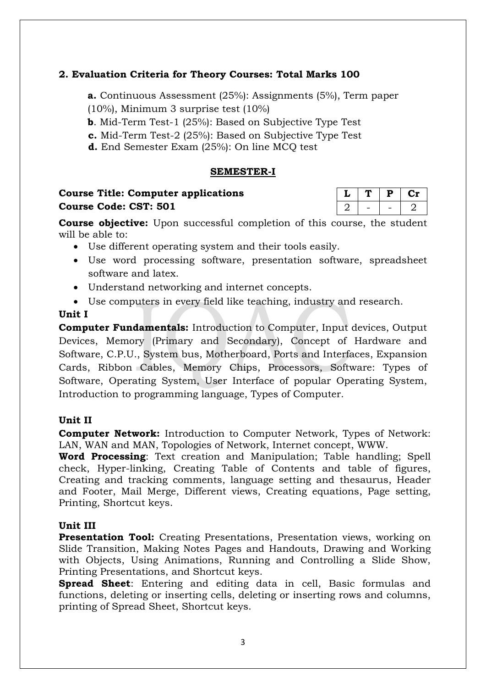## **2. Evaluation Criteria for Theory Courses: Total Marks 100**

**a.** Continuous Assessment (25%): Assignments (5%), Term paper (10%), Minimum 3 surprise test (10%)

**b**. Mid-Term Test-1 (25%): Based on Subjective Type Test

**c.** Mid-Term Test-2 (25%): Based on Subjective Type Test

**d.** End Semester Exam (25%): On line MCQ test

### **SEMESTER-I**

### **Course Title: Computer applications Course Code: CST: 501**

|  | D | 6 I T |
|--|---|-------|
|  |   |       |

**Course objective:** Upon successful completion of this course, the student will be able to:

- Use different operating system and their tools easily.
- Use word processing software, presentation software, spreadsheet software and latex.
- Understand networking and internet concepts.
- Use computers in every field like teaching, industry and research.

### **Unit I**

**Computer Fundamentals:** Introduction to Computer, Input devices, Output Devices, Memory (Primary and Secondary), Concept of Hardware and Software, C.P.U., System bus, Motherboard, Ports and Interfaces, Expansion Cards, Ribbon Cables, Memory Chips, Processors, Software: Types of Software, Operating System, User Interface of popular Operating System, Introduction to programming language, Types of Computer.

### **Unit II**

**Computer Network:** Introduction to Computer Network, Types of Network: LAN, WAN and MAN, Topologies of Network, Internet concept, WWW.

**Word Processing**: Text creation and Manipulation; Table handling; Spell check, Hyper-linking, Creating Table of Contents and table of figures, Creating and tracking comments, language setting and thesaurus, Header and Footer, Mail Merge, Different views, Creating equations, Page setting, Printing, Shortcut keys.

### **Unit III**

**Presentation Tool:** Creating Presentations, Presentation views, working on Slide Transition, Making Notes Pages and Handouts, Drawing and Working with Objects, Using Animations, Running and Controlling a Slide Show, Printing Presentations, and Shortcut keys.

**Spread Sheet**: Entering and editing data in cell, Basic formulas and functions, deleting or inserting cells, deleting or inserting rows and columns, printing of Spread Sheet, Shortcut keys.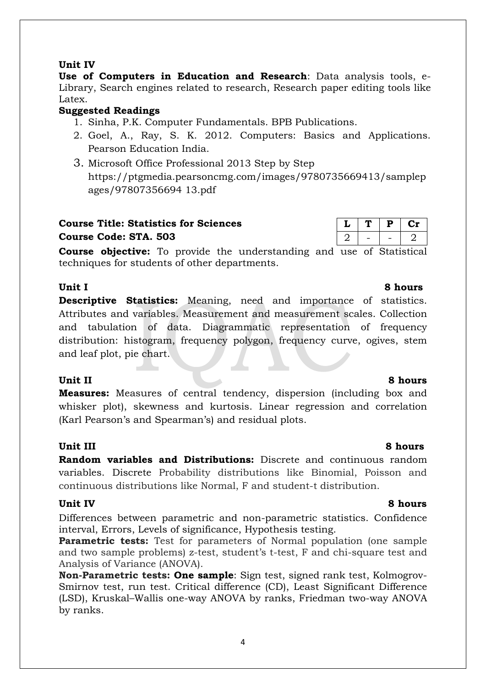### **Unit IV**

**Use of Computers in Education and Research**: Data analysis tools, e-Library, Search engines related to research, Research paper editing tools like Latex.

### **Suggested Readings**

- 1. Sinha, P.K. Computer Fundamentals. BPB Publications.
- 2. Goel, A., Ray, S. K. 2012. Computers: Basics and Applications. Pearson Education India.
- 3. Microsoft Office Professional 2013 Step by Step https://ptgmedia.pearsoncmg.com/images/9780735669413/samplep ages/97807356694 13.pdf

## **Course Title: Statistics for Sciences Course Code: STA. 503**

**Course objective:** To provide the understanding and use of Statistical techniques for students of other departments.

### **Unit I** 8 hours

**Descriptive Statistics:** Meaning, need and importance of statistics. Attributes and variables. Measurement and measurement scales. Collection and tabulation of data. Diagrammatic representation of frequency distribution: histogram, frequency polygon, frequency curve, ogives, stem and leaf plot, pie chart.

### **Unit II** 8 hours

**Measures:** Measures of central tendency, dispersion (including box and whisker plot), skewness and kurtosis. Linear regression and correlation (Karl Pearson's and Spearman's) and residual plots.

### **Unit III** 8 hours

**Random variables and Distributions:** Discrete and continuous random variables. Discrete Probability distributions like Binomial, Poisson and continuous distributions like Normal, F and student-t distribution.

### **Unit IV** 8 hours

Differences between parametric and non-parametric statistics. Confidence interval, Errors, Levels of significance, Hypothesis testing.

**Parametric tests:** Test for parameters of Normal population (one sample and two sample problems) z-test, student's t-test, F and chi-square test and Analysis of Variance (ANOVA).

**Non-Parametric tests: One sample**: Sign test, signed rank test, Kolmogrov-Smirnov test, run test. Critical difference (CD), Least Significant Difference (LSD), Kruskal–Wallis one-way ANOVA by ranks, Friedman two-way ANOVA by ranks.

 $L$  | **T** | **P** |  $Cr$  $2$  | - | - | 2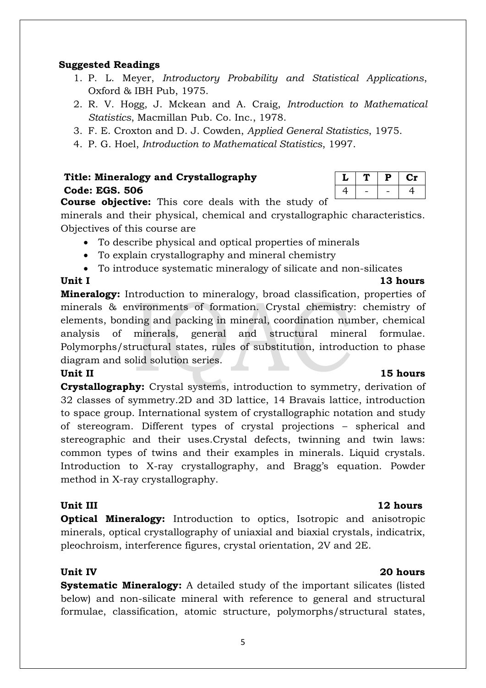### **Suggested Readings**

- 1. P. L. Meyer, *Introductory Probability and Statistical Applications*, Oxford & IBH Pub, 1975.
- 2. R. V. Hogg, J. Mckean and A. Craig, *Introduction to Mathematical Statistics*, Macmillan Pub. Co. Inc., 1978.
- 3. F. E. Croxton and D. J. Cowden, *Applied General Statistics*, 1975.
- 4. P. G. Hoel, *Introduction to Mathematical Statistics*, 1997.

## **Title: Mineralogy and Crystallography Code: EGS. 506**

**Course objective:** This core deals with the study of

minerals and their physical, chemical and crystallographic characteristics. Objectives of this course are

- To describe physical and optical properties of minerals
- To explain crystallography and mineral chemistry
- To introduce systematic mineralogy of silicate and non-silicates

## **Unit I** 13 hours

**Mineralogy:** Introduction to mineralogy, broad classification, properties of minerals & environments of formation. Crystal chemistry: chemistry of elements, bonding and packing in mineral, coordination number, chemical analysis of minerals, general and structural mineral formulae. Polymorphs/structural states, rules of substitution, introduction to phase diagram and solid solution series.

## Unit II 15 hours

**Crystallography:** Crystal systems, introduction to symmetry, derivation of 32 classes of symmetry.2D and 3D lattice, 14 Bravais lattice, introduction to space group. International system of crystallographic notation and study of stereogram. Different types of crystal projections – spherical and stereographic and their uses.Crystal defects, twinning and twin laws: common types of twins and their examples in minerals. Liquid crystals. Introduction to X-ray crystallography, and Bragg's equation. Powder method in X-ray crystallography.

**Optical Mineralogy:** Introduction to optics, Isotropic and anisotropic minerals, optical crystallography of uniaxial and biaxial crystals, indicatrix, pleochroism, interference figures, crystal orientation, 2V and 2E.

## **Unit IV 20 hours**

**Systematic Mineralogy:** A detailed study of the important silicates (listed below) and non-silicate mineral with reference to general and structural formulae, classification, atomic structure, polymorphs/structural states,

| м |                          | D | Сr |
|---|--------------------------|---|----|
| 4 | $\overline{\phantom{0}}$ |   | 4  |
|   |                          |   |    |

### **Unit III** 12 hours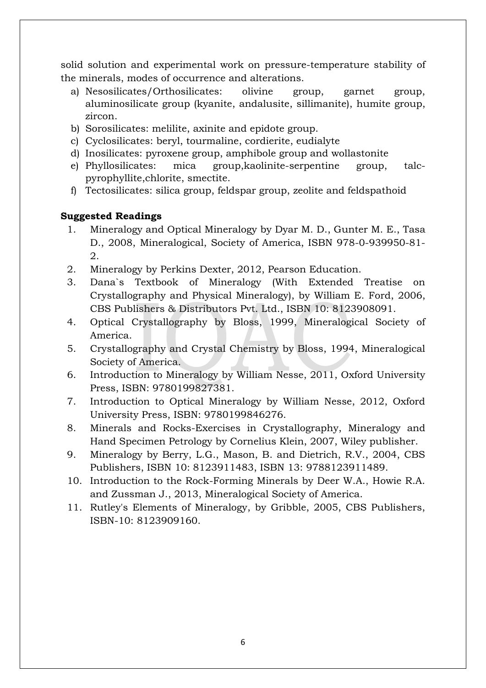solid solution and experimental work on pressure-temperature stability of the minerals, modes of occurrence and alterations.

- a) Nesosilicates/Orthosilicates: olivine group, garnet group, aluminosilicate group (kyanite, andalusite, sillimanite), humite group, zircon.
- b) Sorosilicates: melilite, axinite and epidote group.
- c) Cyclosilicates: beryl, tourmaline, cordierite, eudialyte
- d) Inosilicates: pyroxene group, amphibole group and wollastonite
- e) Phyllosilicates: mica group,kaolinite-serpentine group, talcpyrophyllite,chlorite, smectite.
- f) Tectosilicates: silica group, feldspar group, zeolite and feldspathoid

## **Suggested Readings**

- 1. Mineralogy and Optical Mineralogy by Dyar M. D., Gunter M. E., Tasa D., 2008, Mineralogical, Society of America, ISBN 978-0-939950-81- 2.
- 2. Mineralogy by Perkins Dexter, 2012, Pearson Education.
- 3. Dana`s Textbook of Mineralogy (With Extended Treatise on Crystallography and Physical Mineralogy), by William E. Ford, 2006, CBS Publishers & Distributors Pvt. Ltd., ISBN 10: 8123908091.
- 4. Optical Crystallography by Bloss, 1999, Mineralogical Society of America.
- 5. Crystallography and Crystal Chemistry by Bloss, 1994, Mineralogical Society of America.
- 6. Introduction to Mineralogy by William Nesse, 2011, Oxford University Press, ISBN: 9780199827381.
- 7. Introduction to Optical Mineralogy by William Nesse, 2012, Oxford University Press, ISBN: 9780199846276.
- 8. Minerals and Rocks-Exercises in Crystallography, Mineralogy and Hand Specimen Petrology by Cornelius Klein, 2007, Wiley publisher.
- 9. Mineralogy by Berry, L.G., Mason, B. and Dietrich, R.V., 2004, CBS Publishers, ISBN 10: 8123911483, ISBN 13: 9788123911489.
- 10. Introduction to the Rock-Forming Minerals by Deer W.A., Howie R.A. and Zussman J., 2013, Mineralogical Society of America.
- 11. Rutley's Elements of Mineralogy, by Gribble, 2005, CBS Publishers, ISBN-10: 8123909160.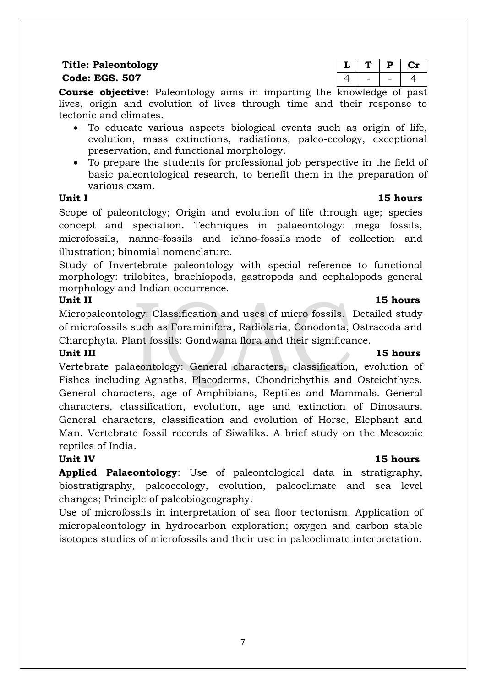### **Title: Paleontology Code: EGS. 507**

**Course objective:** Paleontology aims in imparting the knowledge of past lives, origin and evolution of lives through time and their response to tectonic and climates.

- To educate various aspects biological events such as origin of life, evolution, mass extinctions, radiations, paleo-ecology, exceptional preservation, and functional morphology.
- To prepare the students for professional job perspective in the field of basic paleontological research, to benefit them in the preparation of various exam.

Scope of paleontology; Origin and evolution of life through age; species concept and speciation. Techniques in palaeontology: mega fossils, microfossils, nanno-fossils and ichno-fossils–mode of collection and illustration; binomial nomenclature.

Study of Invertebrate paleontology with special reference to functional morphology: trilobites, brachiopods, gastropods and cephalopods general morphology and Indian occurrence.

Micropaleontology: Classification and uses of micro fossils. Detailed study of microfossils such as Foraminifera, Radiolaria, Conodonta, Ostracoda and Charophyta. Plant fossils: Gondwana flora and their significance.

## **Unit III** 15 hours

Vertebrate palaeontology: General characters, classification, evolution of Fishes including Agnaths, Placoderms, Chondrichythis and Osteichthyes. General characters, age of Amphibians, Reptiles and Mammals. General characters, classification, evolution, age and extinction of Dinosaurs. General characters, classification and evolution of Horse, Elephant and Man. Vertebrate fossil records of Siwaliks. A brief study on the Mesozoic reptiles of India.

**Applied Palaeontology**: Use of paleontological data in stratigraphy, biostratigraphy, paleoecology, evolution, paleoclimate and sea level changes; Principle of paleobiogeography.

Use of microfossils in interpretation of sea floor tectonism. Application of micropaleontology in hydrocarbon exploration; oxygen and carbon stable isotopes studies of microfossils and their use in paleoclimate interpretation.

# $L$  |  $T$  |  $P$  |  $Cr$ 4 - - - 4

## Unit II 15 hours

## **Unit IV 15 hours**

# **Unit I 15 hours**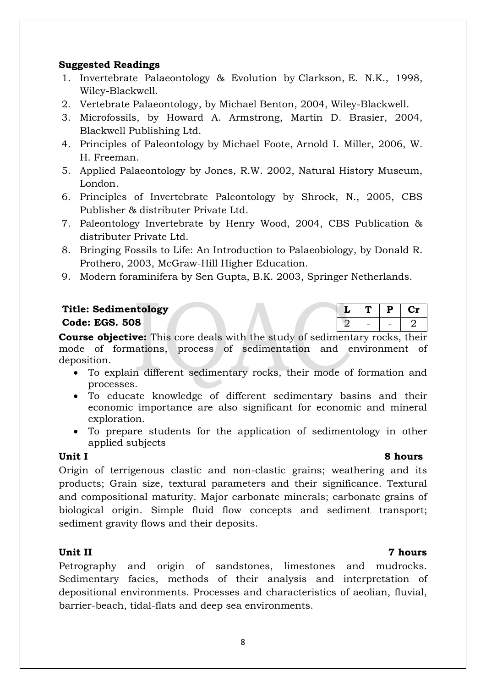### **Suggested Readings**

- 1. Invertebrate Palaeontology & Evolution by Clarkson, E. N.K., 1998, Wiley-Blackwell.
- 2. Vertebrate Palaeontology, by Michael Benton, 2004, Wiley-Blackwell.
- 3. Microfossils, by Howard A. Armstrong, Martin D. Brasier, 2004, Blackwell Publishing Ltd.
- 4. Principles of Paleontology by Michael Foote, Arnold I. Miller, 2006, W. H. Freeman.
- 5. Applied Palaeontology by Jones, R.W. 2002, Natural History Museum, London.
- 6. Principles of Invertebrate Paleontology by Shrock, N., 2005, CBS Publisher & distributer Private Ltd.
- 7. Paleontology Invertebrate by Henry Wood, 2004, CBS Publication & distributer Private Ltd.
- 8. Bringing Fossils to Life: An Introduction to Palaeobiology, by Donald R. Prothero, 2003, McGraw-Hill Higher Education.
- 9. Modern foraminifera by Sen Gupta, B.K. 2003, Springer Netherlands.

#### **Title: Sedimentology Code: EGS. 508**

**Course objective:** This core deals with the study of sedimentary rocks, their mode of formations, process of sedimentation and environment of deposition.

- To explain different sedimentary rocks, their mode of formation and processes.
- To educate knowledge of different sedimentary basins and their economic importance are also significant for economic and mineral exploration.
- To prepare students for the application of sedimentology in other applied subjects

Origin of terrigenous clastic and non-clastic grains; weathering and its products; Grain size, textural parameters and their significance. Textural and compositional maturity. Major carbonate minerals; carbonate grains of biological origin. Simple fluid flow concepts and sediment transport; sediment gravity flows and their deposits.

### **Unit II** 7 hours

Petrography and origin of sandstones, limestones and mudrocks. Sedimentary facies, methods of their analysis and interpretation of depositional environments. Processes and characteristics of aeolian, fluvial, barrier-beach, tidal-flats and deep sea environments.

### **Unit I** 8 hours

 $L$   $T$   $P$   $C_r$  $2$  | - | - | 2

### 8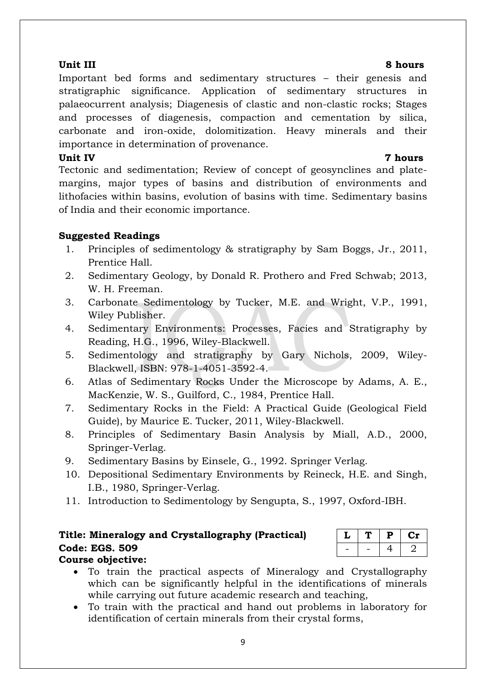- To train the practical aspects of Mineralogy and Crystallography which can be significantly helpful in the identifications of minerals while carrying out future academic research and teaching,
- To train with the practical and hand out problems in laboratory for identification of certain minerals from their crystal forms,

9

## **Unit III** 8 hours

Important bed forms and sedimentary structures – their gene stratigraphic significance. Application of sedimentary structures in palaeocurrent analysis; Diagenesis of clastic and non-clastic rocks; Stages and processes of diagenesis, compaction and cementation by silica, carbonate and iron-oxide, dolomitization. Heavy minerals and their importance in determination of provenance.

**Unit IV** 7 hours Tectonic and sedimentation; Review of concept of geosynclines and platemargins, major types of basins and distribution of environments and lithofacies within basins, evolution of basins with time. Sedimentary basins of India and their economic importance.

## **Suggested Readings**

- 1. Principles of sedimentology & stratigraphy by Sam Boggs, Jr., 2011, Prentice Hall.
- 2. Sedimentary Geology, by Donald R. Prothero and Fred Schwab; 2013, W. H. Freeman.
- 3. Carbonate Sedimentology by Tucker, M.E. and Wright, V.P., 1991, Wiley Publisher.
- 4. Sedimentary Environments: Processes, Facies and Stratigraphy by Reading, H.G., 1996, Wiley-Blackwell.
- 5. Sedimentology and stratigraphy by Gary Nichols, 2009, Wiley-Blackwell, ISBN: 978-1-4051-3592-4.
- 6. Atlas of Sedimentary Rocks Under the Microscope by Adams, A. E., MacKenzie, W. S., Guilford, C., 1984, Prentice Hall.
- 7. Sedimentary Rocks in the Field: A Practical Guide (Geological Field Guide), by Maurice E. Tucker, 2011, Wiley-Blackwell.
- 8. Principles of Sedimentary Basin Analysis by Miall, A.D., 2000, Springer-Verlag.
- 9. Sedimentary Basins by Einsele, G., 1992. Springer Verlag.
- 10. Depositional Sedimentary Environments by Reineck, H.E. and Singh, I.B., 1980, Sp
- 11. Introduction to Sedimentology by Sengupta, S., 1997, Oxford-IBH.

## **Title: Mineralogy and Crystallography (Practical) Code: EGS. 509 Course objective:**

| esis   | and |
|--------|-----|
| titran | 110 |

| r. | в. | U II |
|----|----|------|
|    |    |      |

| ucker, M.E. and Wright, |  |                                                                          |  |
|-------------------------|--|--------------------------------------------------------------------------|--|
|                         |  |                                                                          |  |
|                         |  | $\mathbf{D}$ . $\mathbf{L}$ . $\mathbf{L}$ . $\mathbf{L}$ . $\mathbf{L}$ |  |

|  | SCIC, U., IJJZ, UPLIIKCI VCIIGC. |  |                                         |  |  |
|--|----------------------------------|--|-----------------------------------------|--|--|
|  | Environments by Reineck, H.E.    |  |                                         |  |  |
|  |                                  |  |                                         |  |  |
|  |                                  |  | $\alpha$ 100 $\alpha$ $\alpha$ $\alpha$ |  |  |

| Sedimentary Environments by Reineck, F |  |  |  |
|----------------------------------------|--|--|--|
| pringer-Verlag.                        |  |  |  |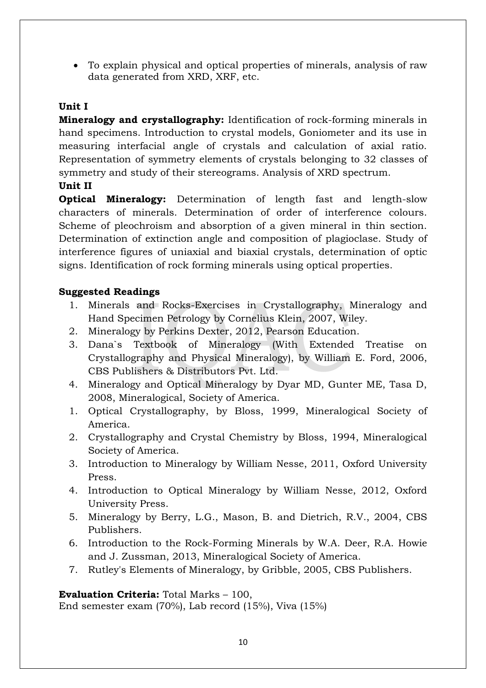To explain physical and optical properties of minerals, analysis of raw data generated from XRD, XRF, etc.

## **Unit I**

**Mineralogy and crystallography:** Identification of rock-forming minerals in hand specimens. Introduction to crystal models, Goniometer and its use in measuring interfacial angle of crystals and calculation of axial ratio. Representation of symmetry elements of crystals belonging to 32 classes of symmetry and study of their stereograms. Analysis of XRD spectrum.

## **Unit II**

**Optical Mineralogy:** Determination of length fast and length-slow characters of minerals. Determination of order of interference colours. Scheme of pleochroism and absorption of a given mineral in thin section. Determination of extinction angle and composition of plagioclase. Study of interference figures of uniaxial and biaxial crystals, determination of optic signs. Identification of rock forming minerals using optical properties.

## **Suggested Readings**

- 1. Minerals and Rocks-Exercises in Crystallography, Mineralogy and Hand Specimen Petrology by Cornelius Klein, 2007, Wiley.
- 2. Mineralogy by Perkins Dexter, 2012, Pearson Education.
- 3. Dana`s Textbook of Mineralogy (With Extended Treatise on Crystallography and Physical Mineralogy), by William E. Ford, 2006, CBS Publishers & Distributors Pvt. Ltd.
- 4. Mineralogy and Optical Mineralogy by Dyar MD, Gunter ME, Tasa D, 2008, Mineralogical, Society of America.
- 1. Optical Crystallography, by Bloss, 1999, Mineralogical Society of America.
- 2. Crystallography and Crystal Chemistry by Bloss, 1994, Mineralogical Society of America.
- 3. Introduction to Mineralogy by William Nesse, 2011, Oxford University Press.
- 4. Introduction to Optical Mineralogy by William Nesse, 2012, Oxford University Press.
- 5. Mineralogy by Berry, L.G., Mason, B. and Dietrich, R.V., 2004, CBS Publishers.
- 6. Introduction to the Rock-Forming Minerals by W.A. Deer, R.A. Howie and J. Zussman, 2013, Mineralogical Society of America.
- 7. Rutley's Elements of Mineralogy, by Gribble, 2005, CBS Publishers.

## **Evaluation Criteria:** Total Marks – 100,

End semester exam (70%), Lab record (15%), Viva (15%)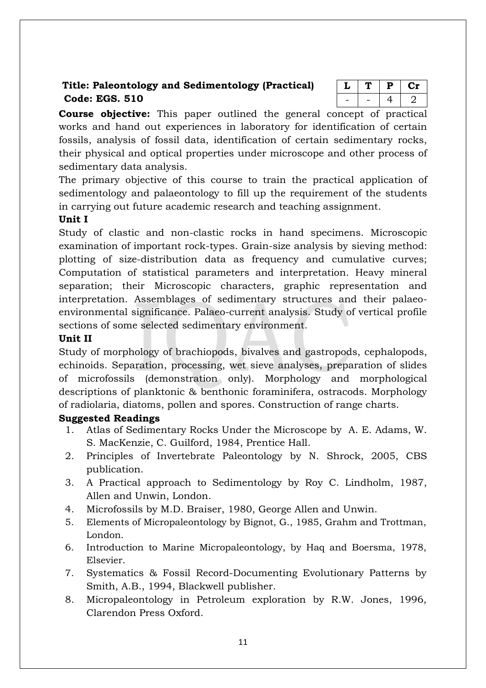## **Title: Paleontology and Sedimentology (Practical) Code: EGS. 510**

|   |   | D |  |
|---|---|---|--|
| - | - |   |  |

**Course objective:** This paper outlined the general concept of practical works and hand out experiences in laboratory for identification of certain fossils, analysis of fossil data, identification of certain sedimentary rocks, their physical and optical properties under microscope and other process of sedimentary data analysis.

The primary objective of this course to train the practical application of sedimentology and palaeontology to fill up the requirement of the students in carrying out future academic research and teaching assignment.

## **Unit I**

Study of clastic and non-clastic rocks in hand specimens. Microscopic examination of important rock-types. Grain-size analysis by sieving method: plotting of size-distribution data as frequency and cumulative curves; Computation of statistical parameters and interpretation. Heavy mineral separation; their Microscopic characters, graphic representation and interpretation. Assemblages of sedimentary structures and their palaeoenvironmental significance. Palaeo-current analysis. Study of vertical profile sections of some selected sedimentary environment.

## **Unit II**

Study of morphology of brachiopods, bivalves and gastropods, cephalopods, echinoids. Separation, processing, wet sieve analyses, preparation of slides of microfossils (demonstration only). Morphology and morphological descriptions of planktonic & benthonic foraminifera, ostracods. Morphology of radiolaria, diatoms, pollen and spores. Construction of range charts.

## **Suggested Readings**

- 1. Atlas of Sedimentary Rocks Under the Microscope by A. E. Adams, W. S. MacKenzie, C. Guilford, 1984, Prentice Hall.
- 2. Principles of Invertebrate Paleontology by N. Shrock, 2005, CBS publication.
- 3. A Practical approach to Sedimentology by Roy C. Lindholm, 1987, Allen and Unwin, London.
- 4. Microfossils by M.D. Braiser, 1980, George Allen and Unwin.
- 5. Elements of Micropaleontology by Bignot, G., 1985, Grahm and Trottman, London.
- 6. Introduction to Marine Micropaleontology, by Haq and Boersma, 1978, Elsevier.
- 7. Systematics & Fossil Record-Documenting Evolutionary Patterns by Smith, A.B., 1994, Blackwell publisher.
- 8. Micropaleontology in Petroleum exploration by R.W. Jones, 1996, Clarendon Press Oxford.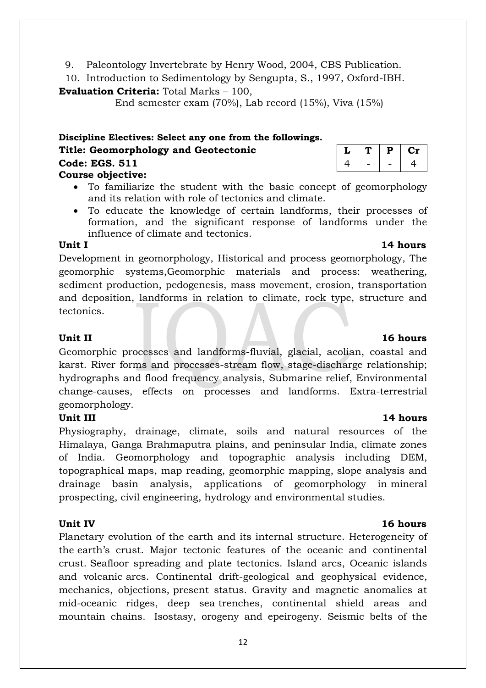9. Paleontology Invertebrate by Henry Wood, 2004, CBS Publication.

10. Introduction to Sedimentology by Sengupta, S., 1997, Oxford-IBH. **Evaluation Criteria:** Total Marks – 100,

End semester exam (70%), Lab record (15%), Viva (15%)

## **Discipline Electives: Select any one from the followings. Title: Geomorphology and Geotectonic Code: EGS. 511**

## **Course objective:**

- To familiarize the student with the basic concept of geomorphology and its relation with role of tectonics and climate.
- To educate the knowledge of certain landforms, their processes of formation, and the significant response of landforms under the influence of climate and tectonics.

Development in geomorphology, Historical and process geomorphology, The geomorphic systems,Geomorphic materials and process: weathering, sediment production, pedogenesis, mass movement, erosion, transportation and deposition, landforms in relation to climate, rock type, structure and tectonics.

Geomorphic processes and landforms-fluvial, glacial, aeolian, coastal and karst. River forms and processes-stream flow, stage-discharge relationship; hydrographs and flood frequency analysis, Submarine relief, Environmental change-causes, effects on processes and landforms. Extra-terrestrial geomorphology.

## **Unit III** 14 hours

Physiography, drainage, climate, soils and natural resources of the Himalaya, Ganga Brahmaputra plains, and peninsular India, climate zones of India. Geomorphology and topographic analysis including DEM, topographical maps, map reading, geomorphic mapping, slope analysis and drainage basin analysis, applications of geomorphology in mineral prospecting, civil engineering, hydrology and environmental studies.

Planetary evolution of the earth and its internal structure. Heterogeneity of the earth's crust. Major tectonic features of the oceanic and continental crust. Seafloor spreading and plate tectonics. Island arcs, Oceanic islands and volcanic arcs. Continental drift-geological and geophysical evidence, mechanics, objections, present status. Gravity and magnetic anomalies at mid-oceanic ridges, deep sea trenches, continental shield areas and mountain chains. Isostasy, orogeny and epeirogeny. Seismic belts of the

### **Unit II** 16 hours

### **Unit IV** 16 hours

## **Unit I** 14 hours

 $L$  | **T** | **P** |  $Cr$ 4 - - - 4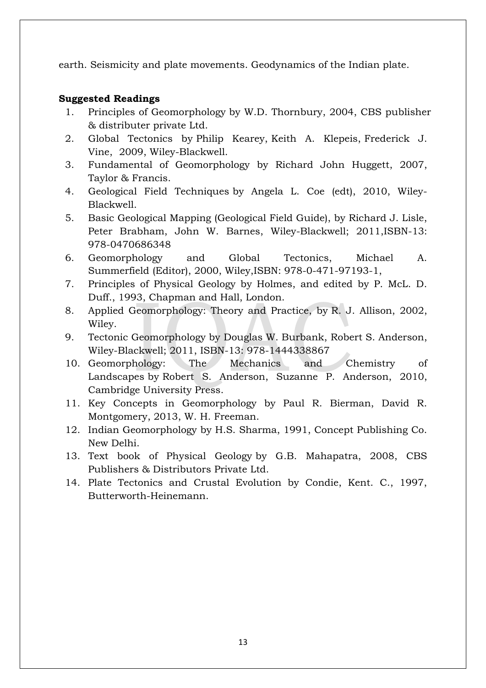earth. Seismicity and plate movements. Geodynamics of the Indian plate.

## **Suggested Readings**

- 1. Principles of Geomorphology by W.D. Thornbury, 2004, CBS publisher & distributer private Ltd.
- 2. Global Tectonics by Philip Kearey, Keith A. Klepeis, Frederick J. Vine, 2009, Wiley-Blackwell.
- 3. Fundamental of Geomorphology by Richard John Huggett, 2007, Taylor & Francis.
- 4. Geological Field Techniques by Angela L. Coe (edt), 2010, Wiley-Blackwell.
- 5. Basic Geological Mapping (Geological Field Guide), by Richard J. Lisle, Peter Brabham, John W. Barnes, Wiley-Blackwell; 2011,ISBN-13: 978-0470686348
- 6. Geomorphology and Global Tectonics, Michael A. Summerfield (Editor), 2000, Wiley,ISBN: 978-0-471-97193-1,
- 7. Principles of Physical Geology by Holmes, and edited by P. McL. D. Duff., 1993, Chapman and Hall, London.
- 8. Applied Geomorphology: Theory and Practice, by R. J. Allison, 2002, Wiley.
- 9. Tectonic Geomorphology by Douglas W. Burbank, Robert S. Anderson, Wiley-Blackwell; 2011, ISBN-13: 978-1444338867
- 10. Geomorphology: The Mechanics and Chemistry of Landscapes by Robert S. Anderson, Suzanne P. Anderson, 2010, Cambridge University Press.
- 11. Key Concepts in Geomorphology by Paul R. Bierman, David R. Montgomery, 2013, W. H. Freeman.
- 12. Indian Geomorphology by H.S. Sharma, 1991, Concept Publishing Co. New Delhi.
- 13. Text book of Physical Geology by G.B. Mahapatra, 2008, CBS Publishers & Distributors Private Ltd.
- 14. Plate Tectonics and Crustal Evolution by Condie, Kent. C., 1997, Butterworth-Heinemann.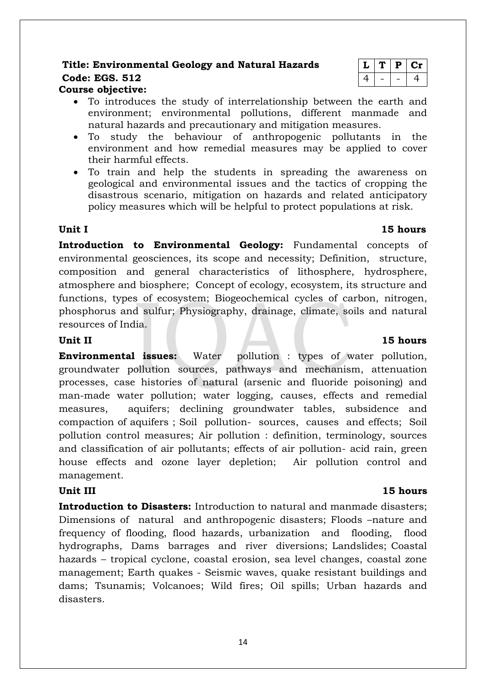#### **Title: Environmental Geology and Natural Hazards Code: EGS. 512 Course objective:**

| ulst unicerise.                                            |                                                                      |  |  |  |  |
|------------------------------------------------------------|----------------------------------------------------------------------|--|--|--|--|
|                                                            | • To introduces the study of interrelationship between the earth and |  |  |  |  |
|                                                            | environment; environmental pollutions, different manmade and         |  |  |  |  |
| natural hazards and precautionary and mitigation measures. |                                                                      |  |  |  |  |

- To study the behaviour of anthropogenic pollutants in the environment and how remedial measures may be applied to cover their harmful effects.
- To train and help the students in spreading the awareness on geological and environmental issues and the tactics of cropping the disastrous scenario, mitigation on hazards and related anticipatory policy measures which will be helpful to protect populations at risk.

### **Unit I** 15 hours

**Introduction to Environmental Geology:** Fundamental concepts of environmental geosciences, its scope and necessity; Definition, structure, composition and general characteristics of lithosphere, hydrosphere, atmosphere and biosphere; Concept of ecology, ecosystem, its structure and functions, types of ecosystem; Biogeochemical cycles of carbon, nitrogen, phosphorus and sulfur; Physiography, drainage, climate, soils and natural resources of India.

**Environmental issues:** Water pollution : types of water pollution, groundwater pollution sources, pathways and mechanism, attenuation processes, case histories of natural (arsenic and fluoride poisoning) and man-made water pollution; water logging, causes, effects and remedial measures, aquifers; declining groundwater tables, subsidence and compaction of aquifers ; Soil pollution- sources, causes and effects; Soil pollution control measures; Air pollution : definition, terminology, sources and classification of air pollutants; effects of air pollution- acid rain, green house effects and ozone layer depletion; Air pollution control and management.

**Introduction to Disasters:** Introduction to natural and manmade disasters; Dimensions of natural and anthropogenic disasters; Floods –nature and frequency of flooding, flood hazards, urbanization and flooding, flood hydrographs, Dams barrages and river diversions; Landslides; Coastal hazards – tropical cyclone, coastal erosion, sea level changes, coastal zone management; Earth quakes - Seismic waves, quake resistant buildings and dams; Tsunamis; Volcanoes; Wild fires; Oil spills; Urban hazards and disasters.

| u | Р | U J |
|---|---|-----|
| 4 |   | æ   |

#### **Unit II** 15 hours

## **Unit III** 15 hours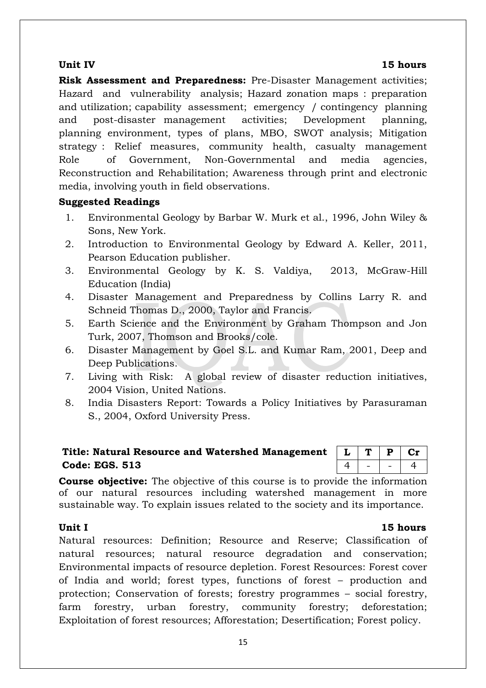#### 15

#### **Unit IV 15 hours**

**Risk Assessment and Preparedness:** Pre-Disaster Management activities; Hazard and vulnerability analysis; Hazard zonation maps : preparation and utilization; capability assessment; emergency / contingency planning and post-disaster management activities; Development planning, planning environment, types of plans, MBO, SWOT analysis; Mitigation strategy : Relief measures, community health, casualty management Role of Government, Non-Governmental and media agencies, Reconstruction and Rehabilitation; Awareness through print and electronic media, involving youth in field observations.

#### **Suggested Readings**

- 1. Environmental Geology by Barbar W. Murk et al., 1996, John Wiley & Sons, New York.
- 2. Introduction to Environmental Geology by Edward A. Keller, 2011, Pearson Education publisher.
- 3. Environmental Geology by K. S. Valdiya, 2013, McGraw-Hill Education (India)
- 4. Disaster Management and Preparedness by Collins Larry R. and Schneid Thomas D., 2000, Taylor and Francis.
- 5. Earth Science and the Environment by Graham Thompson and Jon Turk, 2007, Thomson and Brooks/cole.
- 6. Disaster Management by Goel S.L. and Kumar Ram, 2001, Deep and Deep Publications.
- 7. Living with Risk: A global review of disaster reduction initiatives, 2004 Vision, United Nations.
- 8. India Disasters Report: Towards a Policy Initiatives by Parasuraman S., 2004, Oxford University Press.

## **Title: Natural Resource and Watershed Management Code: EGS. 513**

| <b>Code: EGS. 513</b>                                                               |  | $ 4  -  - 4 $ |  |
|-------------------------------------------------------------------------------------|--|---------------|--|
| <b>Course objective:</b> The objective of this course is to provide the information |  |               |  |
| of our natural resources including watershed management in more                     |  |               |  |
| sustainable way. To explain issues related to the society and its importance.       |  |               |  |

### **Unit I** 15 hours

## Natural resources: Definition; Resource and Reserve; Classification of natural resources; natural resource degradation and conservation; Environmental impacts of resource depletion. Forest Resources: Forest cover of India and world; forest types, functions of forest – production and protection; Conservation of forests; forestry programmes – social forestry, farm forestry, urban forestry, community forestry; deforestation; Exploitation of forest resources; Afforestation; Desertification; Forest policy.

 $T$  **P**  $C$ **r**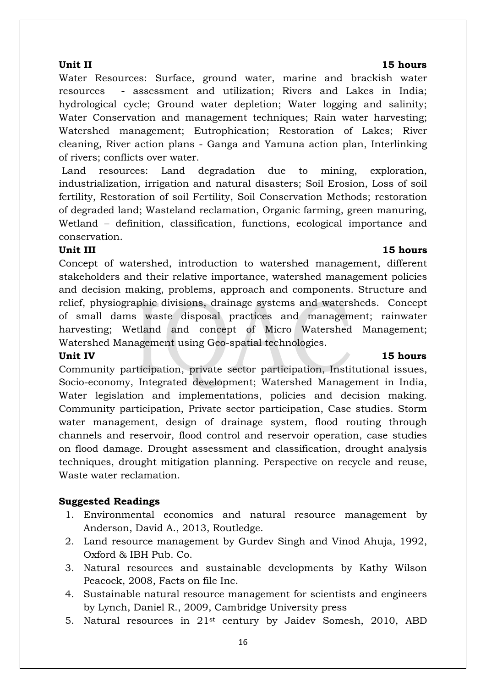Water Resources: Surface, ground water, marine and brackish water resources - assessment and utilization; Rivers and Lakes in India; hydrological cycle; Ground water depletion; Water logging and salinity; Water Conservation and management techniques; Rain water harvesting; Watershed management; Eutrophication; Restoration of Lakes; River cleaning, River action plans - Ganga and Yamuna action plan, Interlinking of rivers; conflicts over water.

Land resources: Land degradation due to mining, exploration, industrialization, irrigation and natural disasters; Soil Erosion, Loss of soil fertility, Restoration of soil Fertility, Soil Conservation Methods; restoration of degraded land; Wasteland reclamation, Organic farming, green manuring, Wetland – definition, classification, functions, ecological importance and conservation.

### **Unit III** 15 hours

Concept of watershed, introduction to watershed management, different stakeholders and their relative importance, watershed management policies and decision making, problems, approach and components. Structure and relief, physiographic divisions, drainage systems and watersheds. Concept of small dams waste disposal practices and management; rainwater harvesting; Wetland and concept of Micro Watershed Management; Watershed Management using Geo-spatial technologies.

### **Unit IV** 15 hours

Community participation, private sector participation, Institutional issues, Socio-economy, Integrated development; Watershed Management in India, Water legislation and implementations, policies and decision making. Community participation, Private sector participation, Case studies. Storm water management, design of drainage system, flood routing through channels and reservoir, flood control and reservoir operation, case studies on flood damage. Drought assessment and classification, drought analysis techniques, drought mitigation planning. Perspective on recycle and reuse, Waste water reclamation.

## **Suggested Readings**

- 1. Environmental economics and natural resource management by Anderson, David A., 2013, Routledge.
- 2. Land resource management by Gurdev Singh and Vinod Ahuja, 1992, Oxford & IBH Pub. Co.
- 3. Natural resources and sustainable developments by Kathy Wilson Peacock, 2008, Facts on file Inc.
- 4. Sustainable natural resource management for scientists and engineers by Lynch, Daniel R., 2009, Cambridge University press
- 5. Natural resources in 21st century by Jaidev Somesh, 2010, ABD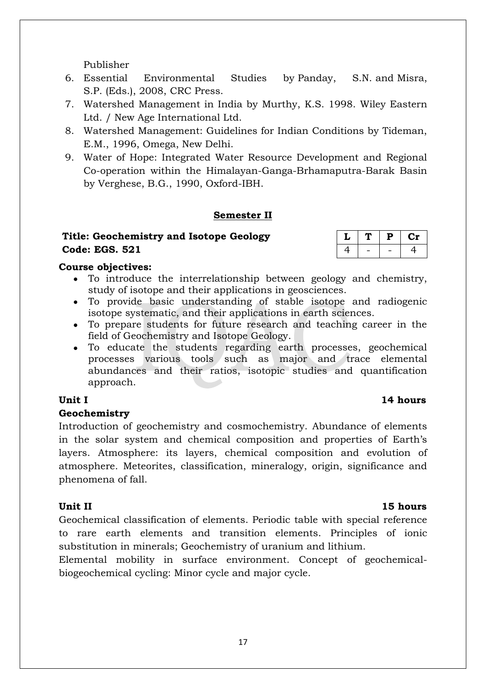Publisher

- 6. Essential Environmental Studies by Panday, S.N. and Misra, S.P. (Eds.), 2008, CRC Press.
- 7. Watershed Management in India by Murthy, K.S. 1998. Wiley Eastern Ltd. / New Age International Ltd.
- 8. Watershed Management: Guidelines for Indian Conditions by Tideman, E.M., 1996, Omega, New Delhi.
- 9. Water of Hope: Integrated Water Resource Development and Regional Co-operation within the Himalayan-Ganga-Brhamaputra-Barak Basin by Verghese, B.G., 1990, Oxford-IBH.

### **Semester II**

### **Title: Geochemistry and Isotope Geology Code: EGS. 521**

|  | ο |  |
|--|---|--|
|  |   |  |

#### **Course objectives:**

- To introduce the interrelationship between geology and chemistry, study of isotope and their applications in geosciences.
- To provide basic understanding of stable isotope and radiogenic isotope systematic, and their applications in earth sciences.
- To prepare students for future research and teaching career in the field of Geochemistry and Isotope Geology.
- To educate the students regarding earth processes, geochemical processes various tools such as major and trace elemental abundances and their ratios, isotopic studies and quantification approach.

### **Unit I** 14 hours

### **Geochemistry**

Introduction of geochemistry and cosmochemistry. Abundance of elements in the solar system and chemical composition and properties of Earth's layers. Atmosphere: its layers, chemical composition and evolution of atmosphere. Meteorites, classification, mineralogy, origin, significance and phenomena of fall.

Geochemical classification of elements. Periodic table with special reference to rare earth elements and transition elements. Principles of ionic substitution in minerals; Geochemistry of uranium and lithium.

Elemental mobility in surface environment. Concept of geochemicalbiogeochemical cycling: Minor cycle and major cycle.

## **Unit II** 15 hours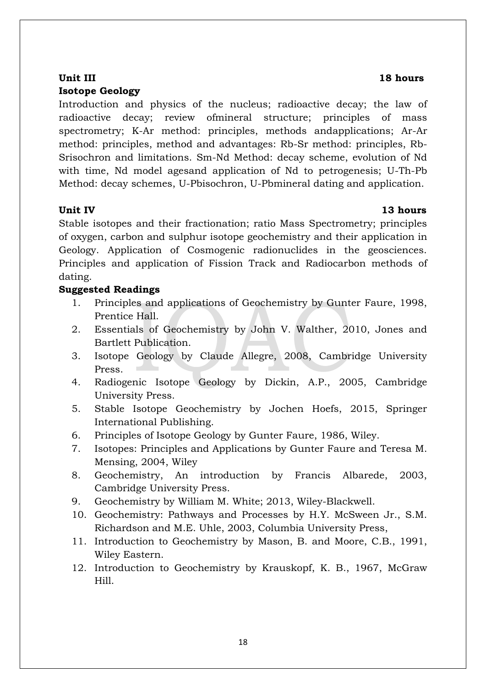#### **Unit III** 18 hours **Isotope Geology**

Introduction and physics of the nucleus; radioactive decay; the law of radioactive decay; review ofmineral structure; principles of mass spectrometry; K-Ar method: principles, methods andapplications; Ar-Ar method: principles, method and advantages: Rb-Sr method: principles, Rb-Srisochron and limitations. Sm-Nd Method: decay scheme, evolution of Nd with time, Nd model agesand application of Nd to petrogenesis; U-Th-Pb Method: decay schemes, U-Pbisochron, U-Pbmineral dating and application.

#### **Unit IV 13 hours**

Stable isotopes and their fractionation; ratio Mass Spectrometry; principles of oxygen, carbon and sulphur isotope geochemistry and their application in Geology. Application of Cosmogenic radionuclides in the geosciences. Principles and application of Fission Track and Radiocarbon methods of dating.

## **Suggested Readings**

- 1. Principles and applications of Geochemistry by Gunter Faure, 1998, Prentice Hall.
- 2. Essentials of Geochemistry by John V. Walther, 2010, Jones and Bartlett Publication.
- 3. Isotope Geology by Claude Allegre, 2008, Cambridge University Press.
- 4. Radiogenic Isotope Geology by Dickin, A.P., 2005, Cambridge University Press.
- 5. Stable Isotope Geochemistry by Jochen Hoefs, 2015, Springer International Publishing.
- 6. Principles of Isotope Geology by Gunter Faure, 1986, Wiley.
- 7. Isotopes: Principles and Applications by Gunter Faure and Teresa M. Mensing, 2004, Wiley
- 8. Geochemistry, An introduction by Francis Albarede, 2003, Cambridge University Press.
- 9. Geochemistry by William M. White; 2013, Wiley-Blackwell.
- 10. Geochemistry: Pathways and Processes by H.Y. McSween Jr., S.M. Richardson and M.E. Uhle, 2003, Columbia University Press,
- 11. Introduction to Geochemistry by Mason, B. and Moore, C.B., 1991, Wiley Eastern.
- 12. Introduction to Geochemistry by Krauskopf, K. B., 1967, McGraw Hill.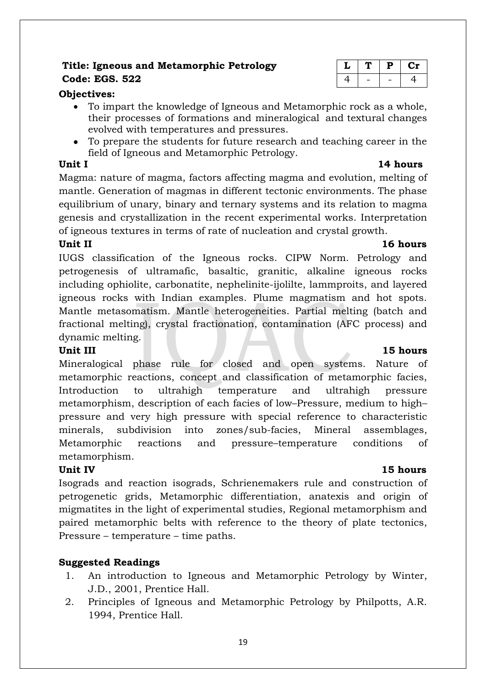## **Title: Igneous and Metamorphic Petrology Code: EGS. 522**

## **Objectives:**

- To impart the knowledge of Igneous and Metamorphic rock as a whole, their processes of formations and mineralogical and textural changes evolved with temperatures and pressures.
- To prepare the students for future research and teaching career in the field of Igneous and Metamorphic Petrology.

Magma: nature of magma, factors affecting magma and evolution, melting of mantle. Generation of magmas in different tectonic environments. The phase equilibrium of unary, binary and ternary systems and its relation to magma genesis and crystallization in the recent experimental works. Interpretation of igneous textures in terms of rate of nucleation and crystal growth.

IUGS classification of the Igneous rocks. CIPW Norm. Petrology and petrogenesis of ultramafic, basaltic, granitic, alkaline igneous rocks including ophiolite, carbonatite, nephelinite-ijolilte, lammproits, and layered igneous rocks with Indian examples. Plume magmatism and hot spots. Mantle metasomatism. Mantle heterogeneities. Partial melting (batch and fractional melting), crystal fractionation, contamination (AFC process) and dynamic melting.

Mineralogical phase rule for closed and open systems. Nature of metamorphic reactions, concept and classification of metamorphic facies, Introduction to ultrahigh temperature and ultrahigh pressure metamorphism, description of each facies of low–Pressure, medium to high– pressure and very high pressure with special reference to characteristic minerals, subdivision into zones/sub-facies, Mineral assemblages, Metamorphic reactions and pressure–temperature conditions of metamorphism.

Isograds and reaction isograds, Schrienemakers rule and construction of petrogenetic grids, Metamorphic differentiation, anatexis and origin of migmatites in the light of experimental studies, Regional metamorphism and paired metamorphic belts with reference to the theory of plate tectonics, Pressure – temperature – time paths.

## **Suggested Readings**

- 1. An introduction to Igneous and Metamorphic Petrology by Winter, J.D., 2001, Prentice Hall.
- 2. Principles of Igneous and Metamorphic Petrology by Philpotts, A.R. 1994, Prentice Hall.

# $L$  |  $T$  |  $P$  |  $Cr$ 4 - - - 4

## **Unit II** 16 hours

## **Unit III 15 hours**

## **Unit IV 15 hours**

## **Unit I** 14 hours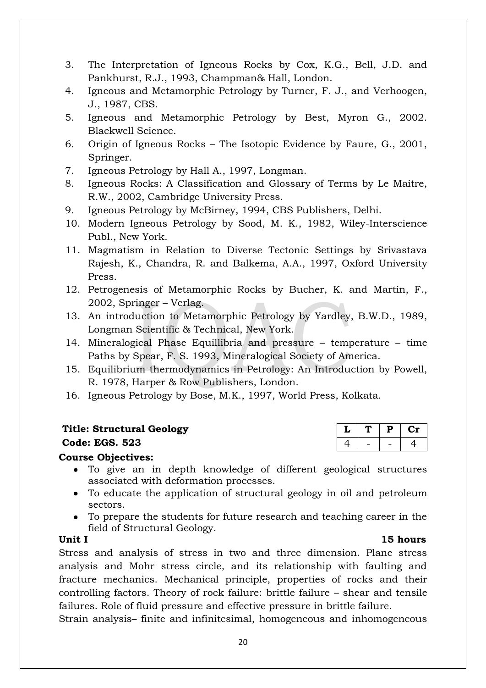- 3. The Interpretation of Igneous Rocks by Cox, K.G., Bell, J.D. and Pankhurst, R.J., 1993, Champman& Hall, London.
- 4. Igneous and Metamorphic Petrology by Turner, F. J., and Verhoogen, J., 1987, CBS.
- 5. Igneous and Metamorphic Petrology by Best, Myron G., 2002. Blackwell Science.
- 6. Origin of Igneous Rocks The Isotopic Evidence by Faure, G., 2001, Springer.
- 7. Igneous Petrology by Hall A., 1997, Longman.
- 8. Igneous Rocks: A Classification and Glossary of Terms by Le Maitre, R.W., 2002, Cambridge University Press.
- 9. Igneous Petrology by McBirney, 1994, CBS Publishers, Delhi.
- 10. Modern Igneous Petrology by Sood, M. K., 1982, Wiley-Interscience Publ., New York.
- 11. Magmatism in Relation to Diverse Tectonic Settings by Srivastava Rajesh, K., Chandra, R. and Balkema, A.A., 1997, Oxford University Press.
- 12. Petrogenesis of Metamorphic Rocks by Bucher, K. and Martin, F., 2002, Springer – Verlag.
- 13. An introduction to Metamorphic Petrology by Yardley, B.W.D., 1989, Longman Scientific & Technical, New York.
- 14. Mineralogical Phase Equillibria and pressure temperature time Paths by Spear, F. S. 1993, Mineralogical Society of America.
- 15. Equilibrium thermodynamics in Petrology: An Introduction by Powell, R. 1978, Harper & Row Publishers, London.
- 16. Igneous Petrology by Bose, M.K., 1997, World Press, Kolkata.

## **Title: Structural Geology Code: EGS. 523**

| U | р | U1 |
|---|---|----|
| 4 |   | 4  |

### **Course Objectives:**

- To give an in depth knowledge of different geological structures associated with deformation processes.
- To educate the application of structural geology in oil and petroleum sectors.
- To prepare the students for future research and teaching career in the field of Structural Geology.

Stress and analysis of stress in two and three dimension. Plane stress analysis and Mohr stress circle, and its relationship with faulting and fracture mechanics. Mechanical principle, properties of rocks and their controlling factors. Theory of rock failure: brittle failure – shear and tensile failures. Role of fluid pressure and effective pressure in brittle failure.

Strain analysis– finite and infinitesimal, homogeneous and inhomogeneous

### **Unit I** 15 hours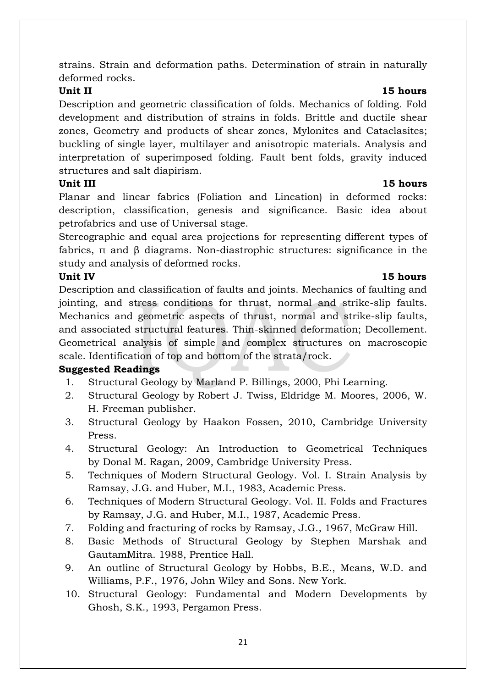strains. Strain and deformation paths. Determination of strain in naturally deformed rocks.

## **Unit II** 15 hours

Description and geometric classification of folds. Mechanics of folding. Fold development and distribution of strains in folds. Brittle and ductile shear zones, Geometry and products of shear zones, Mylonites and Cataclasites; buckling of single layer, multilayer and anisotropic materials. Analysis and interpretation of superimposed folding. Fault bent folds, gravity induced structures and salt diapirism.

## **Unit III** 15 hours

Planar and linear fabrics (Foliation and Lineation) in deformed rocks: description, classification, genesis and significance. Basic idea about petrofabrics and use of Universal stage.

Stereographic and equal area projections for representing different types of fabrics, π and β diagrams. Non-diastrophic structures: significance in the study and analysis of deformed rocks.

Description and classification of faults and joints. Mechanics of faulting and jointing, and stress conditions for thrust, normal and strike-slip faults. Mechanics and geometric aspects of thrust, normal and strike-slip faults, and associated structural features. Thin-skinned deformation; Decollement. Geometrical analysis of simple and complex structures on macroscopic scale. Identification of top and bottom of the strata/rock.

## **Suggested Readings**

- 1. Structural Geology by Marland P. Billings, 2000, Phi Learning.
- 2. Structural Geology by Robert J. Twiss, Eldridge M. Moores, 2006, W. H. Freeman publisher.
- 3. Structural Geology by Haakon Fossen, 2010, Cambridge University Press.
- 4. Structural Geology: An Introduction to Geometrical Techniques by Donal M. Ragan, 2009, Cambridge University Press.
- 5. Techniques of Modern Structural Geology. Vol. I. Strain Analysis by Ramsay, J.G. and Huber, M.I., 1983, Academic Press.
- 6. Techniques of Modern Structural Geology. Vol. II. Folds and Fractures by Ramsay, J.G. and Huber, M.I., 1987, Academic Press.
- 7. Folding and fracturing of rocks by Ramsay, J.G., 1967, McGraw Hill.
- 8. Basic Methods of Structural Geology by Stephen Marshak and GautamMitra. 1988, Prentice Hall.
- 9. An outline of Structural Geology by Hobbs, B.E., Means, W.D. and Williams, P.F., 1976, John Wiley and Sons. New York.
- 10. Structural Geology: Fundamental and Modern Developments by Ghosh, S.K., 1993, Pergamon Press.

## **Unit IV 15 hours**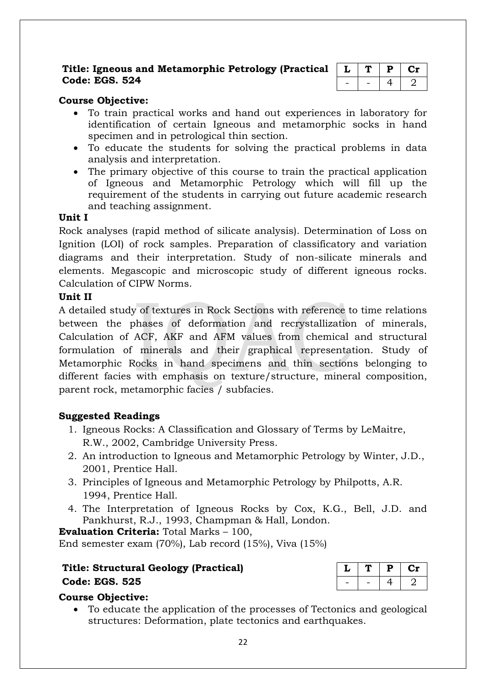### **Title: Igneous and Metamorphic Petrology (Practical Code: EGS. 524**

|   |   | D   | U II |
|---|---|-----|------|
| - | - | 2 L |      |

### **Course Objective:**

- To train practical works and hand out experiences in laboratory for identification of certain Igneous and metamorphic socks in hand specimen and in petrological thin section.
- To educate the students for solving the practical problems in data analysis and interpretation.
- The primary objective of this course to train the practical application of Igneous and Metamorphic Petrology which will fill up the requirement of the students in carrying out future academic research and teaching assignment.

### **Unit I**

Rock analyses (rapid method of silicate analysis). Determination of Loss on Ignition (LOI) of rock samples. Preparation of classificatory and variation diagrams and their interpretation. Study of non-silicate minerals and elements. Megascopic and microscopic study of different igneous rocks. Calculation of CIPW Norms.

### **Unit II**

A detailed study of textures in Rock Sections with reference to time relations between the phases of deformation and recrystallization of minerals, Calculation of ACF, AKF and AFM values from chemical and structural formulation of minerals and their graphical representation. Study of Metamorphic Rocks in hand specimens and thin sections belonging to different facies with emphasis on texture/structure, mineral composition, parent rock, metamorphic facies / subfacies.

### **Suggested Readings**

- 1. Igneous Rocks: A Classification and Glossary of Terms by LeMaitre, R.W., 2002, Cambridge University Press.
- 2. An introduction to Igneous and Metamorphic Petrology by Winter, J.D., 2001, Prentice Hall.
- 3. Principles of Igneous and Metamorphic Petrology by Philpotts, A.R. 1994, Prentice Hall.
- 4. The Interpretation of Igneous Rocks by Cox, K.G., Bell, J.D. and Pankhurst, R.J., 1993, Champman & Hall, London.

**Evaluation Criteria:** Total Marks – 100, End semester exam (70%), Lab record (15%), Viva (15%)

## **Title: Structural Geology (Practical) Code: EGS. 525**

| 17 | p | Сr |
|----|---|----|
|    | 4 |    |

### **Course Objective:**

 To educate the application of the processes of Tectonics and geological structures: Deformation, plate tectonics and earthquakes.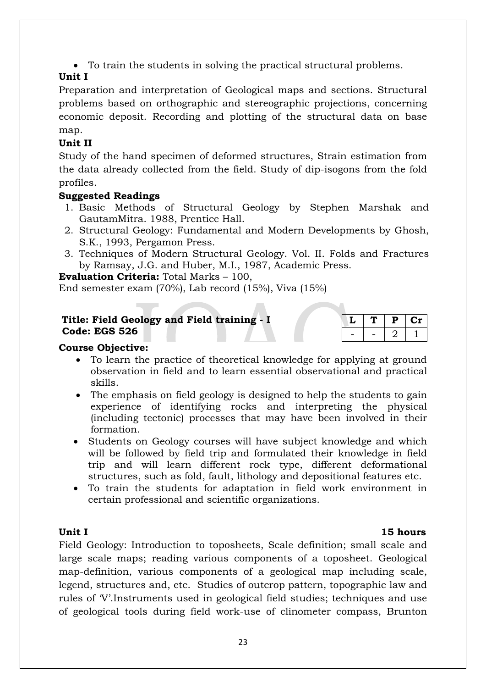To train the students in solving the practical structural problems.

## **Unit I**

Preparation and interpretation of Geological maps and sections. Structural problems based on orthographic and stereographic projections, concerning economic deposit. Recording and plotting of the structural data on base map.

## **Unit II**

Study of the hand specimen of deformed structures, Strain estimation from the data already collected from the field. Study of dip-isogons from the fold profiles.

## **Suggested Readings**

- 1. Basic Methods of Structural Geology by Stephen Marshak and GautamMitra. 1988, Prentice Hall.
- 2. Structural Geology: Fundamental and Modern Developments by Ghosh, S.K., 1993, Pergamon Press.
- 3. Techniques of Modern Structural Geology. Vol. II. Folds and Fractures by Ramsay, J.G. and Huber, M.I., 1987, Academic Press.

## **Evaluation Criteria:** Total Marks – 100,

End semester exam (70%), Lab record (15%), Viva (15%)

#### **Title: Field Geology and Field training - I Code: EGS 526**

|  | Кr |
|--|----|
|  |    |

## **Course Objective:**

- To learn the practice of theoretical knowledge for applying at ground observation in field and to learn essential observational and practical skills.
- The emphasis on field geology is designed to help the students to gain experience of identifying rocks and interpreting the physical (including tectonic) processes that may have been involved in their formation.
- Students on Geology courses will have subject knowledge and which will be followed by field trip and formulated their knowledge in field trip and will learn different rock type, different deformational structures, such as fold, fault, lithology and depositional features etc.
- To train the students for adaptation in field work environment in certain professional and scientific organizations.

### **Unit I** 15 hours

Field Geology: Introduction to toposheets, Scale definition; small scale and large scale maps; reading various components of a toposheet. Geological map-definition, various components of a geological map including scale, legend, structures and, etc. Studies of outcrop pattern, topographic law and rules of 'V'.Instruments used in geological field studies; techniques and use of geological tools during field work-use of clinometer compass, Brunton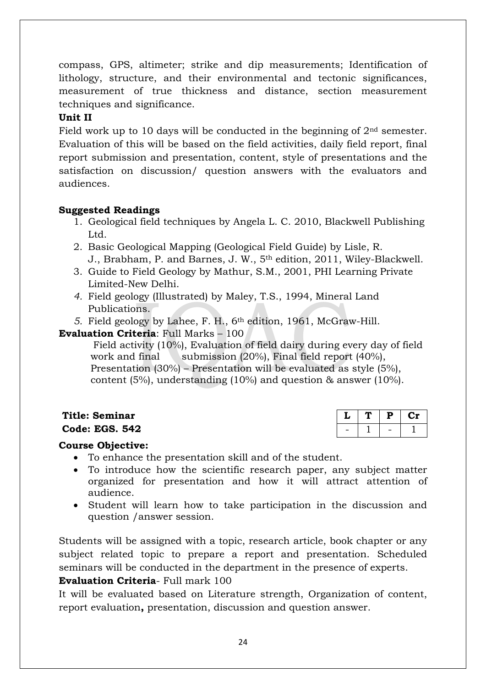compass, GPS, altimeter; strike and dip measurements; Identification of lithology, structure, and their environmental and tectonic significances, measurement of true thickness and distance, section measurement techniques and significance.

## **Unit II**

Field work up to 10 days will be conducted in the beginning of 2nd semester. Evaluation of this will be based on the field activities, daily field report, final report submission and presentation, content, style of presentations and the satisfaction on discussion/ question answers with the evaluators and audiences.

## **Suggested Readings**

- 1. Geological field techniques by Angela L. C. 2010, Blackwell Publishing Ltd.
- 2. Basic Geological Mapping (Geological Field Guide) by Lisle, R. J., Brabham, P. and Barnes, J. W., 5th edition, 2011, Wiley-Blackwell.
- 3. Guide to Field Geology by Mathur, S.M., 2001, PHI Learning Private Limited-New Delhi.
- *4.* Field geology (Illustrated) by Maley, T.S., 1994, Mineral Land Publications.
- *5.* Field geology by Lahee, F. H., 6th edition, 1961, McGraw-Hill.

## **Evaluation Criteria**: Full Marks – 100

 Field activity (10%), Evaluation of field dairy during every day of field work and final submission (20%), Final field report (40%), Presentation (30%) – Presentation will be evaluated as style (5%), content (5%), understanding (10%) and question & answer (10%).

### **Title: Seminar Code: EGS. 542**

|  | в. | i.<br>- - |
|--|----|-----------|
|  |    |           |

## **Course Objective:**

- To enhance the presentation skill and of the student.
- To introduce how the scientific research paper, any subject matter organized for presentation and how it will attract attention of audience.
- Student will learn how to take participation in the discussion and question /answer session.

Students will be assigned with a topic, research article, book chapter or any subject related topic to prepare a report and presentation. Scheduled seminars will be conducted in the department in the presence of experts.

## **Evaluation Criteria**- Full mark 100

It will be evaluated based on Literature strength, Organization of content, report evaluation**,** presentation, discussion and question answer.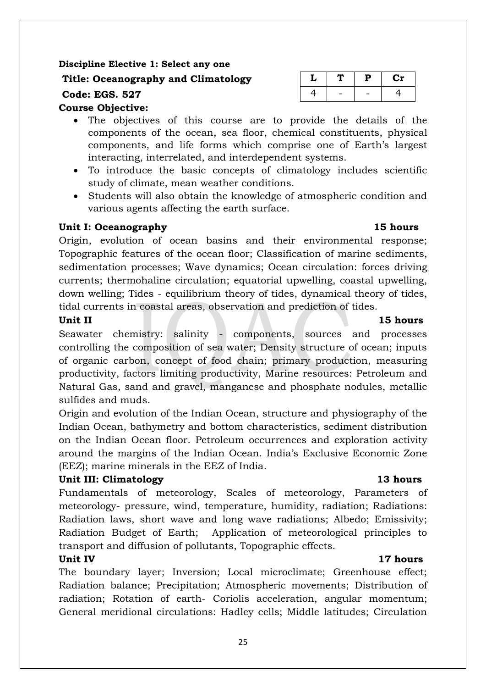#### **Discipline Elective 1: Select any one**

**Title: Oceanography and Climatology Code: EGS. 527** 

### **Course Objective:**

- The objectives of this course are to provide the details of the components of the ocean, sea floor, chemical constituents, physical components, and life forms which comprise one of Earth's largest interacting, interrelated, and interdependent systems.
- To introduce the basic concepts of climatology includes scientific study of climate, mean weather conditions.
- Students will also obtain the knowledge of atmospheric condition and various agents affecting the earth surface.

### **Unit I: Oceanography 15 hours**

Origin, evolution of ocean basins and their environmental response; Topographic features of the ocean floor; Classification of marine sediments, sedimentation processes; Wave dynamics; Ocean circulation: forces driving currents; thermohaline circulation; equatorial upwelling, coastal upwelling, down welling; Tides - equilibrium theory of tides, dynamical theory of tides, tidal currents in coastal areas, observation and prediction of tides.

#### **Unit II** 15 hours

Seawater chemistry: salinity - components, sources and processes controlling the composition of sea water; Density structure of ocean; inputs of organic carbon, concept of food chain; primary production, measuring productivity, factors limiting productivity, Marine resources: Petroleum and Natural Gas, sand and gravel, manganese and phosphate nodules, metallic sulfides and muds.

Origin and evolution of the Indian Ocean, structure and physiography of the Indian Ocean, bathymetry and bottom characteristics, sediment distribution on the Indian Ocean floor. Petroleum occurrences and exploration activity around the margins of the Indian Ocean. India's Exclusive Economic Zone (EEZ); marine minerals in the EEZ of India.

### **Unit III: Climatology 13 hours**

Fundamentals of meteorology, Scales of meteorology, Parameters of meteorology- pressure, wind, temperature, humidity, radiation; Radiations: Radiation laws, short wave and long wave radiations; Albedo; Emissivity; Radiation Budget of Earth; Application of meteorological principles to transport and diffusion of pollutants, Topographic effects.

### **Unit IV 17 hours**

The boundary layer; Inversion; Local microclimate; Greenhouse effect; Radiation balance; Precipitation; Atmospheric movements; Distribution of radiation; Rotation of earth- Coriolis acceleration, angular momentum; General meridional circulations: Hadley cells; Middle latitudes; Circulation

|  | P | $\mathbf{Cr}$ |
|--|---|---------------|
|  |   | ч.            |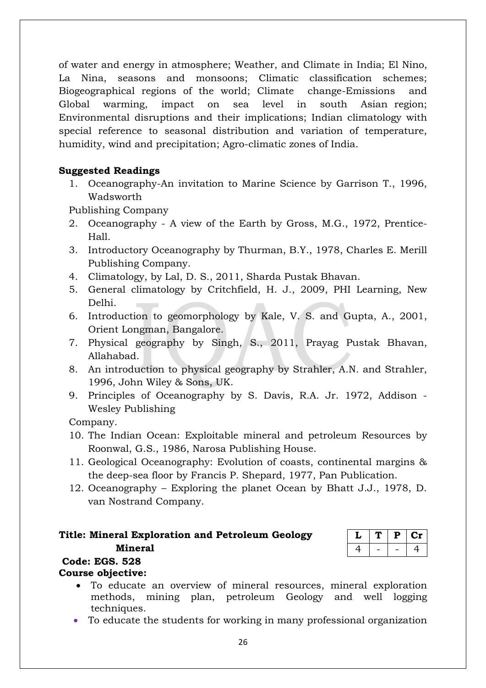of water and energy in atmosphere; Weather, and Climate in India; El Nino, La Nina, seasons and monsoons; Climatic classification schemes; Biogeographical regions of the world; Climate change-Emissions and Global warming, impact on sea level in south Asian region; Environmental disruptions and their implications; Indian climatology with special reference to seasonal distribution and variation of temperature, humidity, wind and precipitation; Agro-climatic zones of India.

### **Suggested Readings**

1. Oceanography-An invitation to Marine Science by Garrison T., 1996, Wadsworth

Publishing Company

- 2. Oceanography A view of the Earth by Gross, M.G., 1972, Prentice-Hall.
- 3. Introductory Oceanography by Thurman, B.Y., 1978, Charles E. Merill Publishing Company.
- 4. Climatology, by Lal, D. S., 2011, Sharda Pustak Bhavan.
- 5. General climatology by Critchfield, H. J., 2009, PHI Learning, New Delhi.
- 6. Introduction to geomorphology by Kale, V. S. and Gupta, A., 2001, Orient Longman, Bangalore.
- 7. Physical geography by Singh, S., 2011, Prayag Pustak Bhavan, Allahabad.
- 8. An introduction to physical geography by Strahler, A.N. and Strahler, 1996, John Wiley & Sons, UK.
- 9. Principles of Oceanography by S. Davis, R.A. Jr. 1972, Addison Wesley Publishing

Company.

- 10. The Indian Ocean: Exploitable mineral and petroleum Resources by Roonwal, G.S., 1986, Narosa Publishing House.
- 11. Geological Oceanography: Evolution of coasts, continental margins & the deep-sea floor by Francis P. Shepard, 1977, Pan Publication.
- 12. Oceanography Exploring the planet Ocean by Bhatt J.J., 1978, D. van Nostrand Company.

## **Title: Mineral Exploration and Petroleum Geology Mineral**

|   | Р | U1 |
|---|---|----|
| 4 |   | 4  |

## **Code: EGS. 528**

### **Course objective:**

- To educate an overview of mineral resources, mineral exploration methods, mining plan, petroleum Geology and well logging techniques.
- To educate the students for working in many professional organization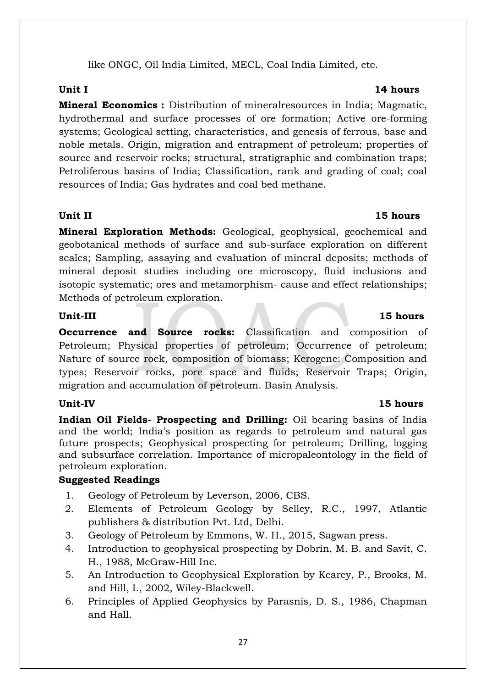**Mineral Economics :** Distribution of mineralresources in India; Magmatic, hydrothermal and surface processes of ore formation; Active ore-forming systems; Geological setting, characteristics, and genesis of ferrous, base and noble metals. Origin, migration and entrapment of petroleum; properties of source and reservoir rocks; structural, stratigraphic and combination traps; Petroliferous basins of India; Classification, rank and grading of coal; coal resources of India; Gas hydrates and coal bed methane.

**Mineral Exploration Methods:** Geological, geophysical, geochemical and geobotanical methods of surface and sub-surface exploration on different scales; Sampling, assaying and evaluation of mineral deposits; methods of mineral deposit studies including ore microscopy, fluid inclusions and isotopic systematic; ores and metamorphism- cause and effect relationships; Methods of petroleum exploration.

## **Unit-III** 15 hours

**Occurrence and Source rocks:** Classification and composition of Petroleum; Physical properties of petroleum; Occurrence of petroleum; Nature of source rock, composition of biomass; Kerogene: Composition and types; Reservoir rocks, pore space and fluids; Reservoir Traps; Origin, migration and accumulation of petroleum. Basin Analysis.

## **Unit-IV 15 hours**

**Indian Oil Fields- Prospecting and Drilling:** Oil bearing basins of India and the world; India's position as regards to petroleum and natural gas future prospects; Geophysical prospecting for petroleum; Drilling, logging and subsurface correlation. Importance of micropaleontology in the field of petroleum exploration.

## **Suggested Readings**

- 1. Geology of Petroleum by Leverson, 2006, CBS.
- 2. Elements of Petroleum Geology by Selley, R.C., 1997, Atlantic publishers & distribution Pvt. Ltd, Delhi.
- 3. Geology of Petroleum by Emmons, W. H., 2015, Sagwan press.
- 4. Introduction to geophysical prospecting by Dobrin, M. B. and Savit, C. H., 1988, McGraw-Hill Inc.
- 5. An Introduction to Geophysical Exploration by Kearey, P., Brooks, M. and Hill, I., 2002, Wiley-Blackwell.
- 6. Principles of Applied Geophysics by Parasnis, D. S., 1986, Chapman and Hall.

27

## **Unit I** 14 hours

## **Unit II** 15 hours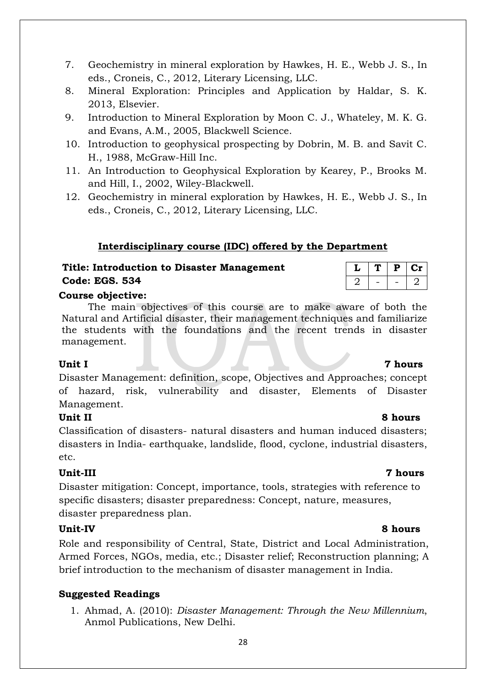- 7. Geochemistry in mineral exploration by Hawkes, H. E., Webb J. S., In eds., Croneis, C., 2012, Literary Licensing, LLC.
- 8. Mineral Exploration: Principles and Application by Haldar, S. K. 2013, Elsevier.
- 9. Introduction to Mineral Exploration by Moon C. J., Whateley, M. K. G. and Evans, A.M., 2005, Blackwell Science.
- 10. Introduction to geophysical prospecting by Dobrin, M. B. and Savit C. H., 1988, McGraw-Hill Inc.
- 11. An Introduction to Geophysical Exploration by Kearey, P., Brooks M. and Hill, I., 2002, Wiley-Blackwell.
- 12. Geochemistry in mineral exploration by Hawkes, H. E., Webb J. S., In eds., Croneis, C., 2012, Literary Licensing, LLC.

## **Interdisciplinary course (IDC) offered by the Department**

## **Title: Introduction to Disaster Management Code: EGS. 534**

#### **Course objective:**

The main objectives of this course are to make aware of both the Natural and Artificial disaster, their management techniques and familiarize the students with the foundations and the recent trends in disaster management.

#### **Unit I** 7 hours

Disaster Management: definition, scope, Objectives and Approaches; concept of hazard, risk, vulnerability and disaster, Elements of Disaster Management.

Classification of disasters- natural disasters and human induced disasters; disasters in India- earthquake, landslide, flood, cyclone, industrial disasters, etc.

### **Unit-III 7 hours**

Disaster mitigation: Concept, importance, tools, strategies with reference to specific disasters; disaster preparedness: Concept, nature, measures, disaster preparedness plan.

Role and responsibility of Central, State, District and Local Administration, Armed Forces, NGOs, media, etc.; Disaster relief; Reconstruction planning; A brief introduction to the mechanism of disaster management in India.

## **Suggested Readings**

1. Ahmad, A. (2010): *Disaster Management: Through the New Millennium*, Anmol Publications, New Delhi.

 $L$  |  $T$  |  $P$  |  $Cr$  $2$  - - 2

## **Unit II** 8 hours

## **Unit-IV 8 hours**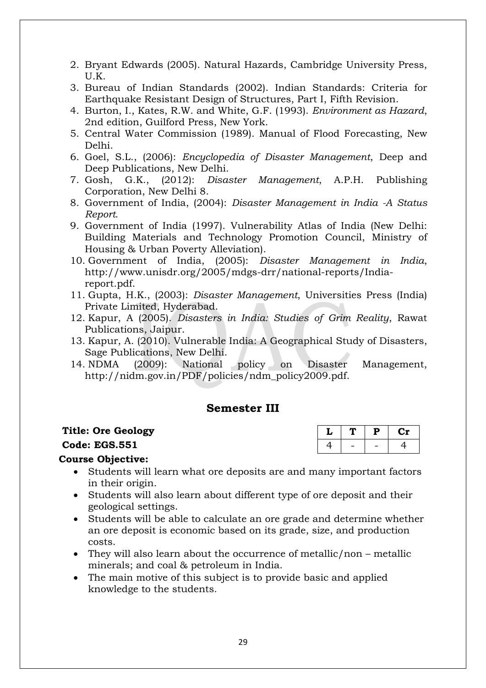- 2. Bryant Edwards (2005). Natural Hazards, Cambridge University Press, U.K.
- 3. Bureau of Indian Standards (2002). Indian Standards: Criteria for Earthquake Resistant Design of Structures, Part I, Fifth Revision.
- 4. Burton, I., Kates, R.W. and White, G.F. (1993). *Environment as Hazard*, 2nd edition, Guilford Press, New York.
- 5. Central Water Commission (1989). Manual of Flood Forecasting, New Delhi.
- 6. Goel, S.L., (2006): *Encyclopedia of Disaster Management*, Deep and Deep Publications, New Delhi.
- 7. Gosh, G.K., (2012): *Disaster Management*, A.P.H. Publishing Corporation, New Delhi 8.
- 8. Government of India, (2004): *Disaster Management in India -A Status Report*.
- 9. Government of India (1997). Vulnerability Atlas of India (New Delhi: Building Materials and Technology Promotion Council, Ministry of Housing & Urban Poverty Alleviation).
- 10. Government of India, (2005): *Disaster Management in India*, http://www.unisdr.org/2005/mdgs-drr/national-reports/Indiareport.pdf.
- 11. Gupta, H.K., (2003): *Disaster Management*, Universities Press (India) Private Limited, Hyderabad.
- 12. Kapur, A (2005). *Disasters in India: Studies of Grim Reality*, Rawat Publications, Jaipur.
- 13. Kapur, A. (2010). Vulnerable India: A Geographical Study of Disasters, Sage Publications, New Delhi.
- 14. NDMA (2009): National policy on Disaster Management, http://nidm.gov.in/PDF/policies/ndm\_policy2009.pdf.

## **Semester III**

### $T$ **itle: Ore Geology**

### **Code: EGS.551**

| u |   | ъ | . . |
|---|---|---|-----|
| 4 | _ | _ |     |

## **Course Objective:**

- Students will learn what ore deposits are and many important factors in their origin.
- Students will also learn about different type of ore deposit and their geological settings.
- Students will be able to calculate an ore grade and determine whether an ore deposit is economic based on its grade, size, and production costs.
- They will also learn about the occurrence of metallic/non metallic minerals; and coal & petroleum in India.
- The main motive of this subject is to provide basic and applied knowledge to the students.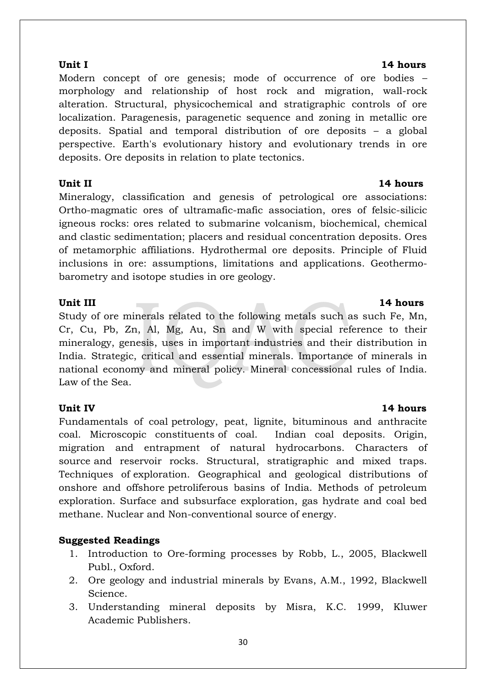### 30

Modern concept of ore genesis; mode of occurrence of ore bodies – morphology and relationship of host rock and migration, wall-rock alteration. Structural, physicochemical and stratigraphic controls of ore localization. Paragenesis, paragenetic sequence and zoning in metallic ore deposits. Spatial and temporal distribution of ore deposits – a global perspective. Earth's evolutionary history and evolutionary trends in ore deposits. Ore deposits in relation to plate tectonics.

Mineralogy, classification and genesis of petrological ore associations: Ortho-magmatic ores of ultramafic-mafic association, ores of felsic-silicic igneous rocks: ores related to submarine volcanism, biochemical, chemical and clastic sedimentation; placers and residual concentration deposits. Ores of metamorphic affiliations. Hydrothermal ore deposits. Principle of Fluid inclusions in ore: assumptions, limitations and applications. Geothermobarometry and isotope studies in ore geology.

Study of ore minerals related to the following metals such as such Fe, Mn, Cr, Cu, Pb, Zn, Al, Mg, Au, Sn and W with special reference to their mineralogy, genesis, uses in important industries and their distribution in India. Strategic, critical and essential minerals. Importance of minerals in national economy and mineral policy. Mineral concessional rules of India. Law of the Sea.

Fundamentals of coal petrology, peat, lignite, bituminous and anthracite coal. Microscopic constituents of coal. Indian coal deposits. Origin, migration and entrapment of natural hydrocarbons. Characters of source and reservoir rocks. Structural, stratigraphic and mixed traps. Techniques of exploration. Geographical and geological distributions of onshore and offshore petroliferous basins of India. Methods of petroleum exploration. Surface and subsurface exploration, gas hydrate and coal bed methane. Nuclear and Non-conventional source of energy.

## **Suggested Readings**

- 1. Introduction to Ore-forming processes by Robb, L., 2005, Blackwell Publ., Oxford.
- 2. Ore geology and industrial minerals by Evans, A.M., 1992, Blackwell Science.
- 3. Understanding mineral deposits by Misra, K.C. 1999, Kluwer Academic Publishers.

### **Unit I** 14 hours

### **Unit II** 14 hours

## **Unit III** 14 hours

### **Unit IV** 14 hours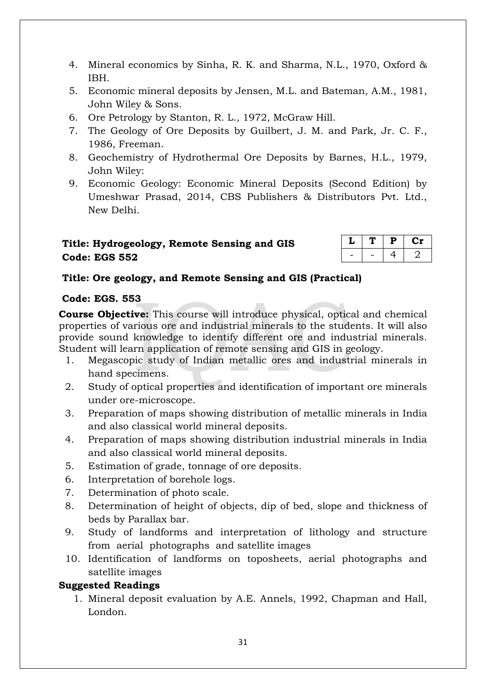- 4. Mineral economics by Sinha, R. K. and Sharma, N.L., 1970, Oxford & IBH.
- 5. Economic mineral deposits by Jensen, M.L. and Bateman, A.M., 1981, John Wiley & Sons.
- 6. Ore Petrology by Stanton, R. L., 1972, McGraw Hill.
- 7. The Geology of Ore Deposits by Guilbert, J. M. and Park, Jr. C. F., 1986, Freeman.
- 8. Geochemistry of Hydrothermal Ore Deposits by Barnes, H.L., 1979, John Wiley:
- 9. Economic Geology: Economic Mineral Deposits (Second Edition) by Umeshwar Prasad, 2014, CBS Publishers & Distributors Pvt. Ltd., New Delhi.

## **Title: Hydrogeology, Remote Sensing and GIS Code: EGS 552**

|   | D |  |
|---|---|--|
| - |   |  |

## **Title: Ore geology, and Remote Sensing and GIS (Practical)**

### **Code: EGS. 553**

**Course Objective:** This course will introduce physical, optical and chemical properties of various ore and industrial minerals to the students. It will also provide sound knowledge to identify different ore and industrial minerals. Student will learn application of remote sensing and GIS in geology.

- 1. Megascopic study of Indian metallic ores and industrial minerals in hand specimens.
- 2. Study of optical properties and identification of important ore minerals under ore-microscope.
- 3. Preparation of maps showing distribution of metallic minerals in India and also classical world mineral deposits.
- 4. Preparation of maps showing distribution industrial minerals in India and also classical world mineral deposits.
- 5. Estimation of grade, tonnage of ore deposits.
- 6. Interpretation of borehole logs.
- 7. Determination of photo scale.
- 8. Determination of height of objects, dip of bed, slope and thickness of beds by Parallax bar.
- 9. Study of landforms and interpretation of lithology and structure from aerial photographs and satellite images
- 10. Identification of landforms on toposheets, aerial photographs and satellite images

## **Suggested Readings**

1. Mineral deposit evaluation by A.E. Annels, 1992, Chapman and Hall, London.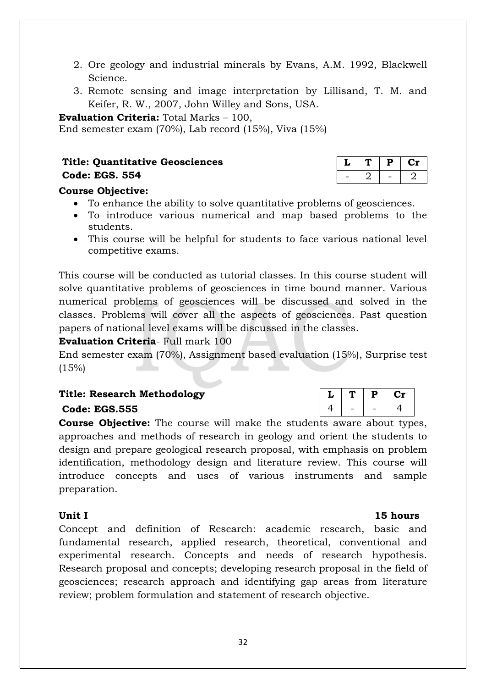- 2. Ore geology and industrial minerals by Evans, A.M. 1992, Blackwell Science.
- 3. Remote sensing and image interpretation by Lillisand, T. M. and Keifer, R. W., 2007, John Willey and Sons, USA.

## **Evaluation Criteria:** Total Marks – 100,

End semester exam (70%), Lab record (15%), Viva (15%)

## **Title: Quantitative Geosciences Code: EGS. 554**

|  | н | a. |
|--|---|----|
|  |   |    |

### **Course Objective:**

- To enhance the ability to solve quantitative problems of geosciences.
- To introduce various numerical and map based problems to the students.
- This course will be helpful for students to face various national level competitive exams.

This course will be conducted as tutorial classes. In this course student will solve quantitative problems of geosciences in time bound manner. Various numerical problems of geosciences will be discussed and solved in the classes. Problems will cover all the aspects of geosciences. Past question papers of national level exams will be discussed in the classes.

### **Evaluation Criteria**- Full mark 100

End semester exam (70%), Assignment based evaluation (15%), Surprise test  $(15%)$ 

## **Title: Research Methodology**

### Code: EGS.555

**Course Objective:** The course will make the students aware about types, approaches and methods of research in geology and orient the students to design and prepare geological research proposal, with emphasis on problem identification, methodology design and literature review. This course will introduce concepts and uses of various instruments and sample preparation.

### **Unit I** 15 hours

Concept and definition of Research: academic research, basic and fundamental research, applied research, theoretical, conventional and experimental research. Concepts and needs of research hypothesis. Research proposal and concepts; developing research proposal in the field of geosciences; research approach and identifying gap areas from literature review; problem formulation and statement of research objective.

| ., | D | u |
|----|---|---|
| 4  |   |   |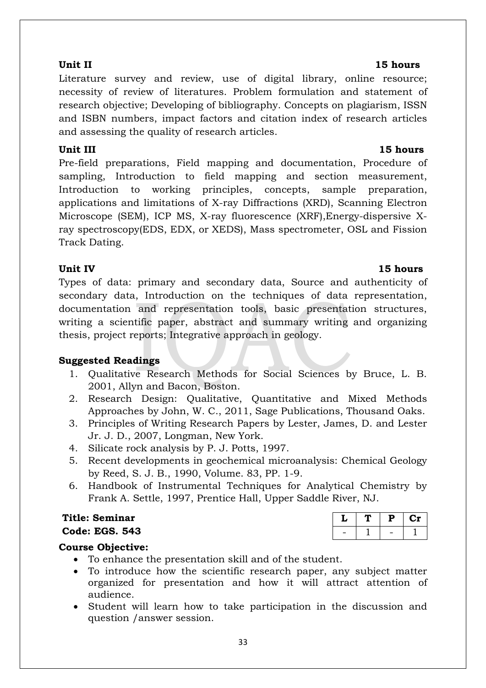Literature survey and review, use of digital library, online resource; necessity of review of literatures. Problem formulation and statement of research objective; Developing of bibliography. Concepts on plagiarism, ISSN and ISBN numbers, impact factors and citation index of research articles and assessing the quality of research articles.

## **Unit III** 15 hours

Pre-field preparations, Field mapping and documentation, Procedure of sampling, Introduction to field mapping and section measurement, Introduction to working principles, concepts, sample preparation, applications and limitations of X-ray Diffractions (XRD), Scanning Electron Microscope (SEM), ICP MS, X-ray fluorescence (XRF),Energy-dispersive Xray spectroscopy(EDS, EDX, or XEDS), Mass spectrometer, OSL and Fission Track Dating.

Types of data: primary and secondary data, Source and authenticity of secondary data, Introduction on the techniques of data representation, documentation and representation tools, basic presentation structures, writing a scientific paper, abstract and summary writing and organizing thesis, project reports; Integrative approach in geology.

## **Suggested Readings**

- 1. Qualitative Research Methods for Social Sciences by Bruce, L. B. 2001, Allyn and Bacon, Boston.
- 2. Research Design: Qualitative, Quantitative and Mixed Methods Approaches by John, W. C., 2011, Sage Publications, Thousand Oaks.
- 3. Principles of Writing Research Papers by Lester, James, D. and Lester Jr. J. D., 2007, Longman, New York.
- 4. Silicate rock analysis by P. J. Potts, 1997.
- 5. Recent developments in geochemical microanalysis: Chemical Geology by Reed, S. J. B., 1990, Volume. 83, PP. 1-9.
- 6. Handbook of Instrumental Techniques for Analytical Chemistry by Frank A. Settle, 1997, Prentice Hall, Upper Saddle River, NJ.

## **Title: Seminar**

## **Code: EGS. 543**

## **Course Objective:**

- To enhance the presentation skill and of the student.
- To introduce how the scientific research paper, any subject matter organized for presentation and how it will attract attention of audience.
- Student will learn how to take participation in the discussion and question /answer session.

|  | D. |  |
|--|----|--|
|  |    |  |

## **Unit IV 15 hours**

### **Unit II** 15 hours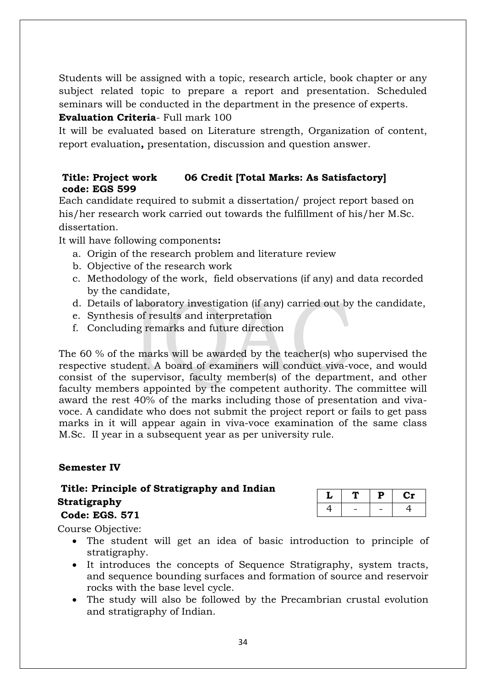Students will be assigned with a topic, research article, book chapter or any subject related topic to prepare a report and presentation. Scheduled seminars will be conducted in the department in the presence of experts. **Evaluation Criteria**- Full mark 100

It will be evaluated based on Literature strength, Organization of content, report evaluation**,** presentation, discussion and question answer.

## **Title: Project work 06 Credit [Total Marks: As Satisfactory] code: EGS 599**

Each candidate required to submit a dissertation/ project report based on his/her research work carried out towards the fulfillment of his/her M.Sc. dissertation.

It will have following components**:**

- a. Origin of the research problem and literature review
- b. Objective of the research work
- c. Methodology of the work, field observations (if any) and data recorded by the candidate,
- d. Details of laboratory investigation (if any) carried out by the candidate,
- e. Synthesis of results and interpretation
- f. Concluding remarks and future direction

The 60 % of the marks will be awarded by the teacher(s) who supervised the respective student. A board of examiners will conduct viva-voce, and would consist of the supervisor, faculty member(s) of the department, and other faculty members appointed by the competent authority. The committee will award the rest 40% of the marks including those of presentation and vivavoce. A candidate who does not submit the project report or fails to get pass marks in it will appear again in viva-voce examination of the same class M.Sc. II year in a subsequent year as per university rule.

### **Semester IV**

### **Title: Principle of Stratigraphy and Indian Stratigraphy <sup>L</sup> <sup>T</sup> <sup>P</sup> Cr Code: EGS. 571**

|  | ш | tΞ |
|--|---|----|
|  |   |    |

Course Objective:

- The student will get an idea of basic introduction to principle of stratigraphy.
- It introduces the concepts of Sequence Stratigraphy, system tracts, and sequence bounding surfaces and formation of source and reservoir rocks with the base level cycle.
- The study will also be followed by the Precambrian crustal evolution and stratigraphy of Indian.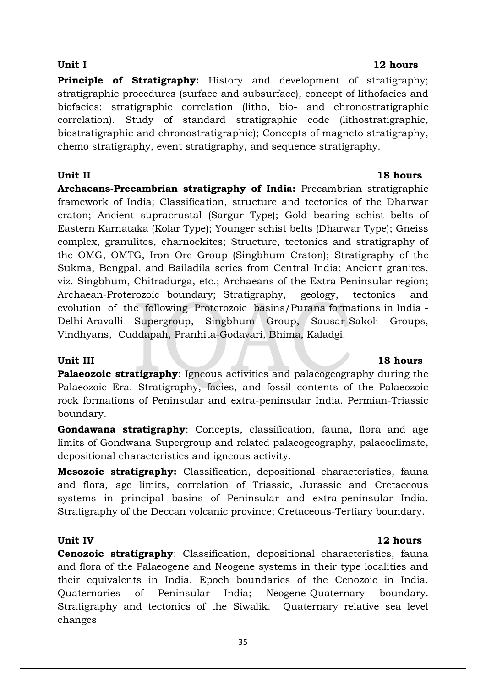#### 35

**Principle of Stratigraphy:** History and development of stratigraphy; stratigraphic procedures (surface and subsurface), concept of lithofacies and biofacies; stratigraphic correlation (litho, bio- and chronostratigraphic correlation). Study of standard stratigraphic code (lithostratigraphic, biostratigraphic and chronostratigraphic); Concepts of magneto stratigraphy, chemo stratigraphy, event stratigraphy, and sequence stratigraphy.

### **Unit II** 18 hours

**Archaeans-Precambrian stratigraphy of India:** Precambrian stratigraphic framework of India; Classification, structure and tectonics of the Dharwar craton; Ancient supracrustal (Sargur Type); Gold bearing schist belts of Eastern Karnataka (Kolar Type); Younger schist belts (Dharwar Type); Gneiss complex, granulites, charnockites; Structure, tectonics and stratigraphy of the OMG, OMTG, Iron Ore Group (Singbhum Craton); Stratigraphy of the Sukma, Bengpal, and Bailadila series from Central India; Ancient granites, viz. Singbhum, Chitradurga, etc.; Archaeans of the Extra Peninsular region; Archaean-Proterozoic boundary; Stratigraphy, geology, tectonics and evolution of the following Proterozoic basins/Purana formations in India - Delhi-Aravalli Supergroup, Singbhum Group, Sausar-Sakoli Groups, Vindhyans, Cuddapah, Pranhita-Godavari, Bhima, Kaladgi.

**Palaeozoic stratigraphy**: Igneous activities and palaeogeography during the Palaeozoic Era. Stratigraphy, facies, and fossil contents of the Palaeozoic rock formations of Peninsular and extra-peninsular India. Permian-Triassic boundary.

**Gondawana stratigraphy**: Concepts, classification, fauna, flora and age limits of Gondwana Supergroup and related palaeogeography, palaeoclimate, depositional characteristics and igneous activity.

**Mesozoic stratigraphy:** Classification, depositional characteristics, fauna and flora, age limits, correlation of Triassic, Jurassic and Cretaceous systems in principal basins of Peninsular and extra-peninsular India. Stratigraphy of the Deccan volcanic province; Cretaceous-Tertiary boundary.

## **Unit IV 12 hours**

**Cenozoic stratigraphy**: Classification, depositional characteristics, fauna and flora of the Palaeogene and Neogene systems in their type localities and their equivalents in India. Epoch boundaries of the Cenozoic in India. Quaternaries of Peninsular India; Neogene-Quaternary boundary. Stratigraphy and tectonics of the Siwalik. Quaternary relative sea level changes

## **Unit III** 18 hours

## **Unit I** 12 hours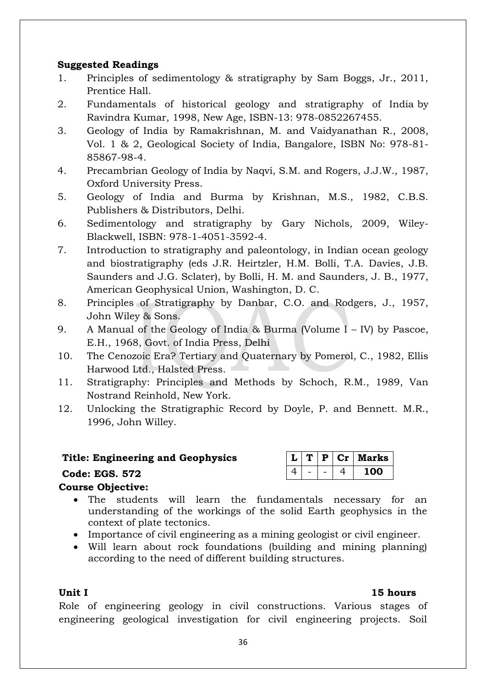### **Suggested Readings**

- 1. Principles of sedimentology & stratigraphy by Sam Boggs, Jr., 2011, Prentice Hall.
- 2. Fundamentals of historical geology and stratigraphy of India by Ravindra Kumar, 1998, New Age, ISBN-13: 978-0852267455.
- 3. Geology of India by Ramakrishnan, M. and Vaidyanathan R., 2008, Vol. 1 & 2, Geological Society of India, Bangalore, ISBN No: 978-81- 85867-98-4.
- 4. Precambrian Geology of India by Naqvi, S.M. and Rogers, J.J.W., 1987, Oxford University Press.
- 5. Geology of India and Burma by Krishnan, M.S., 1982, C.B.S. Publishers & Distributors, Delhi.
- 6. Sedimentology and stratigraphy by Gary Nichols, 2009, Wiley-Blackwell, ISBN: 978-1-4051-3592-4.
- 7. Introduction to stratigraphy and paleontology, in Indian ocean geology and biostratigraphy (eds J.R. Heirtzler, H.M. Bolli, T.A. Davies, J.B. Saunders and J.G. Sclater), by Bolli, H. M. and Saunders, J. B., 1977, American Geophysical Union, Washington, D. C.
- 8. Principles of Stratigraphy by Danbar, C.O. and Rodgers, J., 1957, John Wiley & Sons.
- 9. A Manual of the Geology of India & Burma (Volume I IV) by Pascoe, E.H., 1968, Govt. of India Press, Delhi
- 10. The Cenozoic Era? Tertiary and Quaternary by Pomerol, C., 1982, Ellis Harwood Ltd., Halsted Press.
- 11. Stratigraphy: Principles and Methods by Schoch, R.M., 1989, Van Nostrand Reinhold, New York.
- 12. Unlocking the Stratigraphic Record by Doyle, P. and Bennett. M.R., 1996, John Willey.

## **Title: Engineering and Geophysics**

|  | Р | Marks |
|--|---|-------|
|  |   | 100   |

### **Code: EGS. 572 Course Objective:**

- The students will learn the fundamentals necessary for an understanding of the workings of the solid Earth geophysics in the context of plate tectonics.
- Importance of civil engineering as a mining geologist or civil engineer.
- Will learn about rock foundations (building and mining planning) according to the need of different building structures.

Role of engineering geology in civil constructions. Various stages of engineering geological investigation for civil engineering projects. Soil

## **Unit I 15 hours**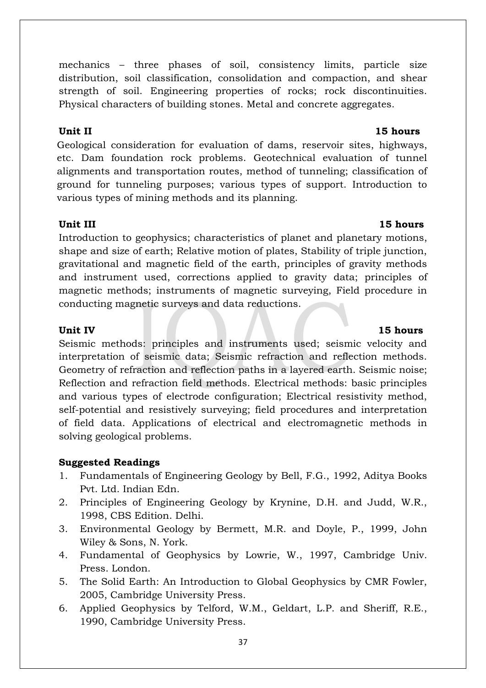mechanics – three phases of soil, consistency limits, particle size distribution, soil classification, consolidation and compaction, and shear strength of soil. Engineering properties of rocks; rock discontinuities. Physical characters of building stones. Metal and concrete aggregates.

Geological consideration for evaluation of dams, reservoir sites, highways, etc. Dam foundation rock problems. Geotechnical evaluation of tunnel alignments and transportation routes, method of tunneling; classification of ground for tunneling purposes; various types of support. Introduction to various types of mining methods and its planning.

## **Unit III** 15 hours

Introduction to geophysics; characteristics of planet and planetary motions, shape and size of earth; Relative motion of plates, Stability of triple junction, gravitational and magnetic field of the earth, principles of gravity methods and instrument used, corrections applied to gravity data; principles of magnetic methods; instruments of magnetic surveying, Field procedure in conducting magnetic surveys and data reductions.

## Seismic methods: principles and instruments used; seismic velocity and interpretation of seismic data; Seismic refraction and reflection methods. Geometry of refraction and reflection paths in a layered earth. Seismic noise; Reflection and refraction field methods. Electrical methods: basic principles and various types of electrode configuration; Electrical resistivity method, self-potential and resistively surveying; field procedures and interpretation of field data. Applications of electrical and electromagnetic methods in solving geological problems.

## **Suggested Readings**

- 1. Fundamentals of Engineering Geology by Bell, F.G., 1992, Aditya Books Pvt. Ltd. Indian Edn.
- 2. Principles of Engineering Geology by Krynine, D.H. and Judd, W.R., 1998, CBS Edition. Delhi.
- 3. Environmental Geology by Bermett, M.R. and Doyle, P., 1999, John Wiley & Sons, N. York.
- 4. Fundamental of Geophysics by Lowrie, W., 1997, Cambridge Univ. Press. London.
- 5. The Solid Earth: An Introduction to Global Geophysics by CMR Fowler, 2005, Cambridge University Press.
- 6. Applied Geophysics by Telford, W.M., Geldart, L.P. and Sheriff, R.E., 1990, Cambridge University Press.

## **Unit II** 15 hours

## **Unit IV 15 hours**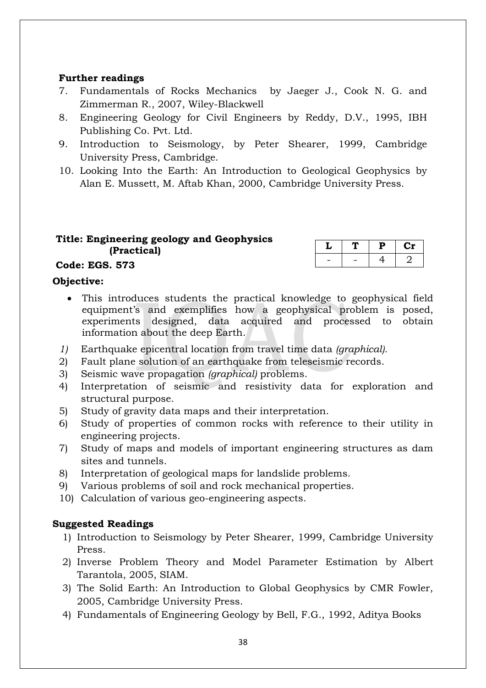### **Further readings**

- 7. Fundamentals of Rocks Mechanics by Jaeger J., Cook N. G. and Zimmerman R., 2007, Wiley-Blackwell
- 8. Engineering Geology for Civil Engineers by Reddy, D.V., 1995, IBH Publishing Co. Pvt. Ltd.
- 9. Introduction to Seismology, by Peter Shearer, 1999, Cambridge University Press, Cambridge.
- 10. Looking Into the Earth: An Introduction to Geological Geophysics by Alan E. Mussett, M. Aftab Khan, 2000, Cambridge University Press.

### **Title: Engineering geology and Geophysics**   $(Practical)$

|  | D | U P<br>. . |
|--|---|------------|
|  |   |            |

# **Code: EGS. 573**

## **Objective:**

- This introduces students the practical knowledge to geophysical field equipment's and exemplifies how a geophysical problem is posed, experiments designed, data acquired and processed to obtain information about the deep Earth.
- *1)* Earthquake epicentral location from travel time data *(graphical).*
- 2) Fault plane solution of an earthquake from teleseismic records.
- 3) Seismic wave propagation *(graphical)* problems.
- 4) Interpretation of seismic and resistivity data for exploration and structural purpose.
- 5) Study of gravity data maps and their interpretation.
- 6) Study of properties of common rocks with reference to their utility in engineering projects.
- 7) Study of maps and models of important engineering structures as dam sites and tunnels.
- 8) Interpretation of geological maps for landslide problems.
- 9) Various problems of soil and rock mechanical properties.
- 10) Calculation of various geo-engineering aspects.

## **Suggested Readings**

- 1) Introduction to Seismology by Peter Shearer, 1999, Cambridge University Press.
- 2) Inverse Problem Theory and Model Parameter Estimation by Albert Tarantola, 2005, SIAM.
- 3) The Solid Earth: An Introduction to Global Geophysics by CMR Fowler, 2005, Cambridge University Press.
- 4) Fundamentals of Engineering Geology by Bell, F.G., 1992, Aditya Books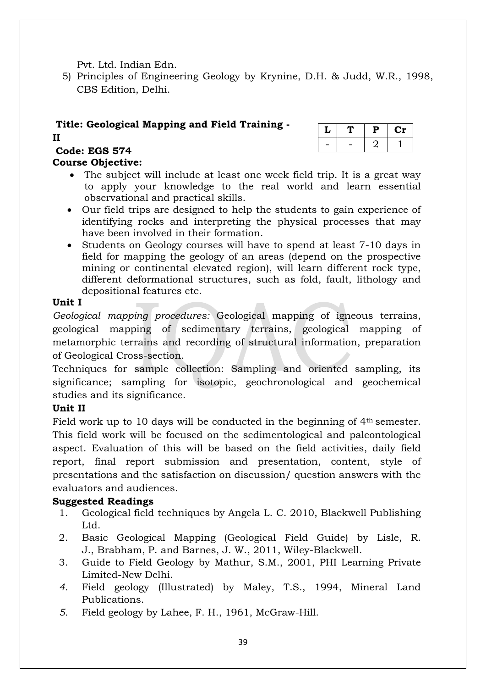Pvt. Ltd. Indian Edn.

5) Principles of Engineering Geology by Krynine, D.H. & Judd, W.R., 1998, CBS Edition, Delhi.

### **Title: Geological Mapping and Field Training - II Code: EGS 574**

| u | ٠ | U |
|---|---|---|
|   |   |   |

#### **Course Objective:** The subject will include at least one week field trip. It is a great way to apply your knowledge to the real world and learn essential observational and practical skills.

- Our field trips are designed to help the students to gain experience of identifying rocks and interpreting the physical processes that may have been involved in their formation.
- Students on Geology courses will have to spend at least 7-10 days in field for mapping the geology of an areas (depend on the prospective mining or continental elevated region), will learn different rock type, different deformational structures, such as fold, fault, lithology and depositional features etc.

## **Unit I**

*Geological mapping procedures:* Geological mapping of igneous terrains, geological mapping of sedimentary terrains, geological mapping of metamorphic terrains and recording of structural information, preparation of Geological Cross-section.

Techniques for sample collection: Sampling and oriented sampling, its significance; sampling for isotopic, geochronological and geochemical studies and its significance.

## **Unit II**

Field work up to 10 days will be conducted in the beginning of 4<sup>th</sup> semester. This field work will be focused on the sedimentological and paleontological aspect. Evaluation of this will be based on the field activities, daily field report, final report submission and presentation, content, style of presentations and the satisfaction on discussion/ question answers with the evaluators and audiences.

## **Suggested Readings**

- 1. Geological field techniques by Angela L. C. 2010, Blackwell Publishing Ltd.
- 2. Basic Geological Mapping (Geological Field Guide) by Lisle, R. J., Brabham, P. and Barnes, J. W., 2011, Wiley-Blackwell.
- 3. Guide to Field Geology by Mathur, S.M., 2001, PHI Learning Private Limited-New Delhi.
- *4.* Field geology (Illustrated) by Maley, T.S., 1994, Mineral Land Publications.
- *5.* Field geology by Lahee, F. H., 1961, McGraw-Hill.